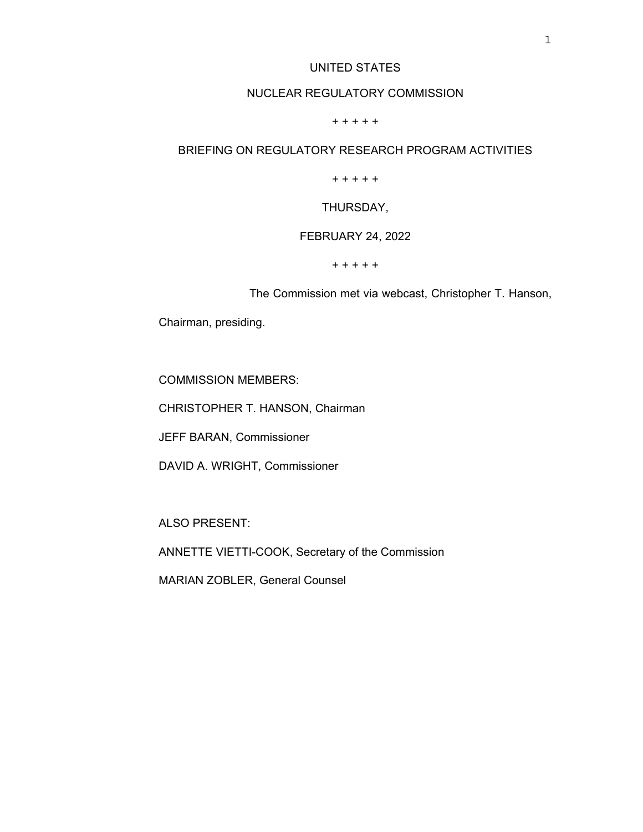## UNITED STATES

# NUCLEAR REGULATORY COMMISSION

#### + + + + +

# BRIEFING ON REGULATORY RESEARCH PROGRAM ACTIVITIES

+ + + + +

### THURSDAY,

### FEBRUARY 24, 2022

#### + + + + +

The Commission met via webcast, Christopher T. Hanson,

Chairman, presiding.

COMMISSION MEMBERS:

CHRISTOPHER T. HANSON, Chairman

JEFF BARAN, Commissioner

DAVID A. WRIGHT, Commissioner

ALSO PRESENT:

ANNETTE VIETTI-COOK, Secretary of the Commission

MARIAN ZOBLER, General Counsel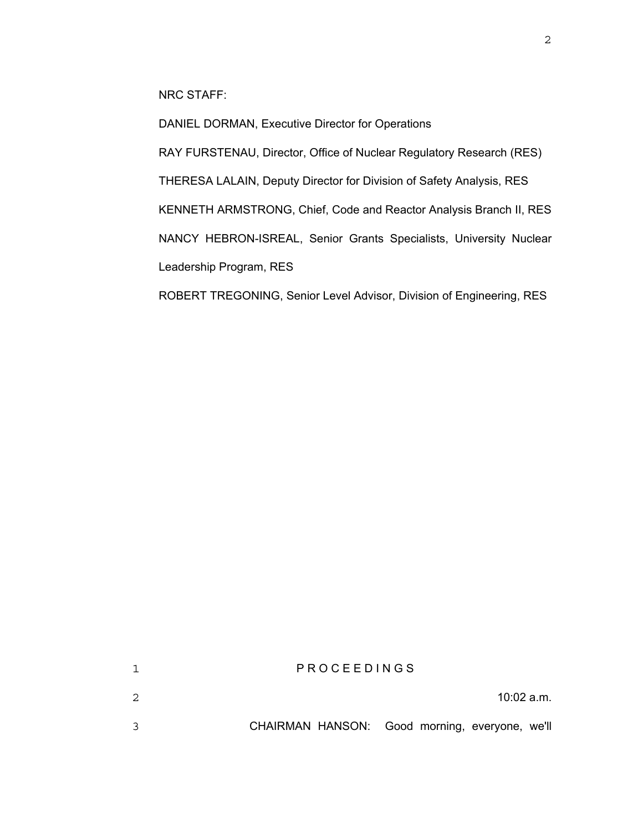NRC STAFF:

DANIEL DORMAN, Executive Director for Operations

RAY FURSTENAU, Director, Office of Nuclear Regulatory Research (RES)

THERESA LALAIN, Deputy Director for Division of Safety Analysis, RES

KENNETH ARMSTRONG, Chief, Code and Reactor Analysis Branch II, RES

NANCY HEBRON-ISREAL, Senior Grants Specialists, University Nuclear

Leadership Program, RES

ROBERT TREGONING, Senior Level Advisor, Division of Engineering, RES

|   | PROCEEDINGS                                    |
|---|------------------------------------------------|
| 2 | $10:02$ a.m.                                   |
|   | CHAIRMAN HANSON: Good morning, everyone, we'll |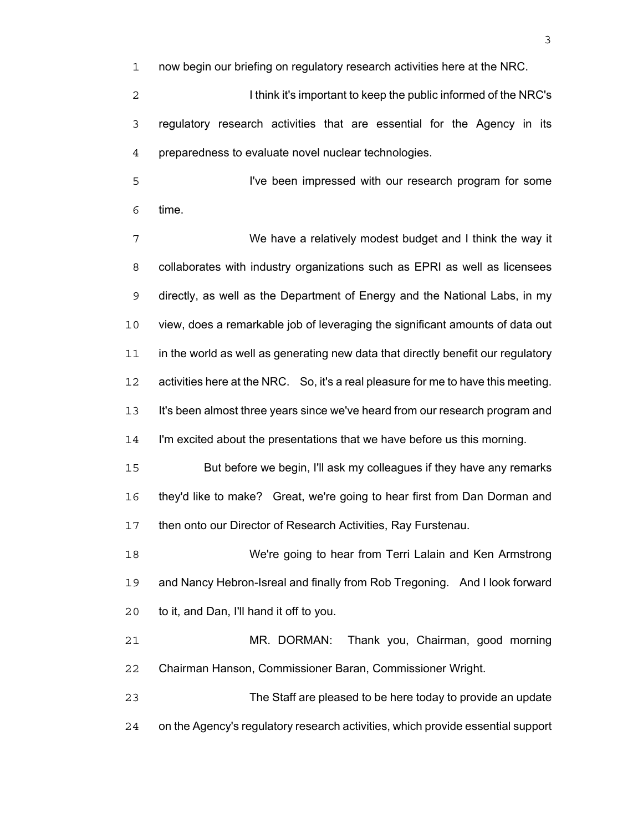now begin our briefing on regulatory research activities here at the NRC.

2 1 I think it's important to keep the public informed of the NRC's regulatory research activities that are essential for the Agency in its preparedness to evaluate novel nuclear technologies.

I've been impressed with our research program for some time.

We have a relatively modest budget and I think the way it collaborates with industry organizations such as EPRI as well as licensees directly, as well as the Department of Energy and the National Labs, in my view, does a remarkable job of leveraging the significant amounts of data out in the world as well as generating new data that directly benefit our regulatory activities here at the NRC. So, it's a real pleasure for me to have this meeting. It's been almost three years since we've heard from our research program and I'm excited about the presentations that we have before us this morning. But before we begin, I'll ask my colleagues if they have any remarks they'd like to make? Great, we're going to hear first from Dan Dorman and then onto our Director of Research Activities, Ray Furstenau.

We're going to hear from Terri Lalain and Ken Armstrong and Nancy Hebron-Isreal and finally from Rob Tregoning. And I look forward to it, and Dan, I'll hand it off to you.

MR. DORMAN: Thank you, Chairman, good morning Chairman Hanson, Commissioner Baran, Commissioner Wright.

The Staff are pleased to be here today to provide an update on the Agency's regulatory research activities, which provide essential support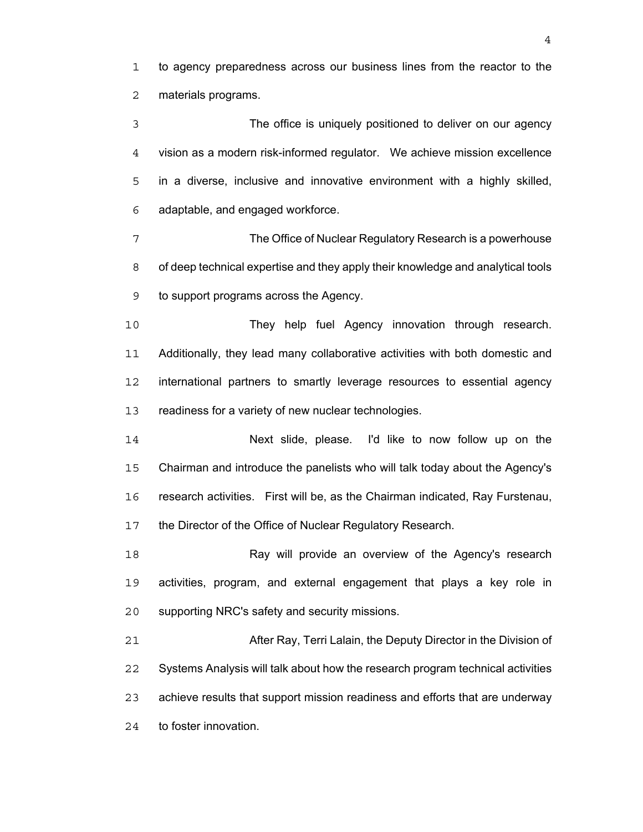to agency preparedness across our business lines from the reactor to the materials programs.

The office is uniquely positioned to deliver on our agency vision as a modern risk-informed regulator. We achieve mission excellence in a diverse, inclusive and innovative environment with a highly skilled, adaptable, and engaged workforce.

The Office of Nuclear Regulatory Research is a powerhouse of deep technical expertise and they apply their knowledge and analytical tools to support programs across the Agency.

They help fuel Agency innovation through research. Additionally, they lead many collaborative activities with both domestic and international partners to smartly leverage resources to essential agency 13 readiness for a variety of new nuclear technologies.

Next slide, please. I'd like to now follow up on the Chairman and introduce the panelists who will talk today about the Agency's research activities. First will be, as the Chairman indicated, Ray Furstenau, 17 the Director of the Office of Nuclear Regulatory Research.

18 Ray will provide an overview of the Agency's research activities, program, and external engagement that plays a key role in supporting NRC's safety and security missions.

After Ray, Terri Lalain, the Deputy Director in the Division of Systems Analysis will talk about how the research program technical activities achieve results that support mission readiness and efforts that are underway to foster innovation.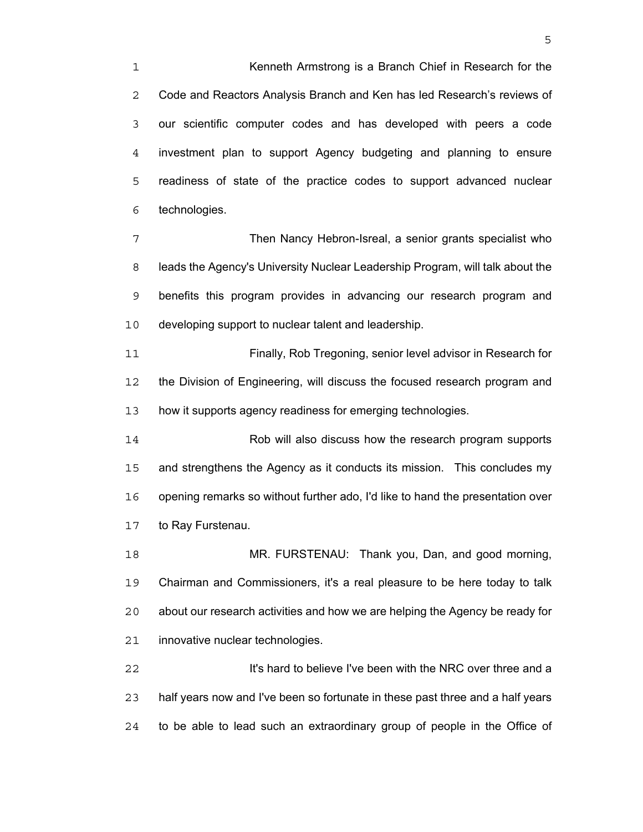Kenneth Armstrong is a Branch Chief in Research for the Code and Reactors Analysis Branch and Ken has led Research's reviews of our scientific computer codes and has developed with peers a code investment plan to support Agency budgeting and planning to ensure readiness of state of the practice codes to support advanced nuclear technologies.

Then Nancy Hebron-Isreal, a senior grants specialist who leads the Agency's University Nuclear Leadership Program, will talk about the benefits this program provides in advancing our research program and developing support to nuclear talent and leadership.

Finally, Rob Tregoning, senior level advisor in Research for the Division of Engineering, will discuss the focused research program and how it supports agency readiness for emerging technologies.

Rob will also discuss how the research program supports and strengthens the Agency as it conducts its mission. This concludes my opening remarks so without further ado, I'd like to hand the presentation over to Ray Furstenau.

MR. FURSTENAU: Thank you, Dan, and good morning, Chairman and Commissioners, it's a real pleasure to be here today to talk about our research activities and how we are helping the Agency be ready for innovative nuclear technologies.

**It's hard to believe I've been with the NRC over three and a** half years now and I've been so fortunate in these past three and a half years to be able to lead such an extraordinary group of people in the Office of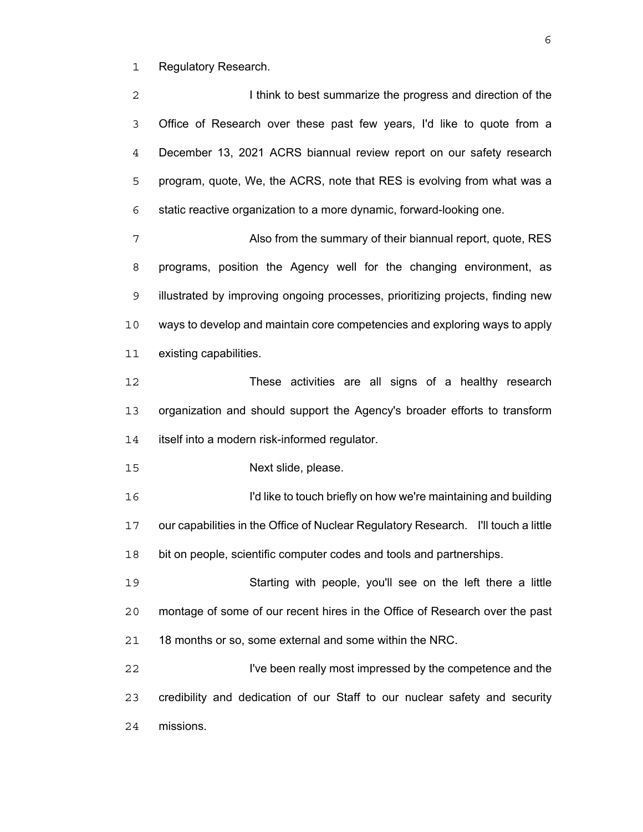Regulatory Research.

2 1 I think to best summarize the progress and direction of the Office of Research over these past few years, I'd like to quote from a December 13, 2021 ACRS biannual review report on our safety research program, quote, We, the ACRS, note that RES is evolving from what was a static reactive organization to a more dynamic, forward-looking one. Also from the summary of their biannual report, quote, RES

programs, position the Agency well for the changing environment, as illustrated by improving ongoing processes, prioritizing projects, finding new ways to develop and maintain core competencies and exploring ways to apply existing capabilities.

These activities are all signs of a healthy research organization and should support the Agency's broader efforts to transform itself into a modern risk-informed regulator.

Next slide, please.

I'd like to touch briefly on how we're maintaining and building our capabilities in the Office of Nuclear Regulatory Research. I'll touch a little bit on people, scientific computer codes and tools and partnerships.

Starting with people, you'll see on the left there a little montage of some of our recent hires in the Office of Research over the past 18 months or so, some external and some within the NRC.

I've been really most impressed by the competence and the credibility and dedication of our Staff to our nuclear safety and security missions.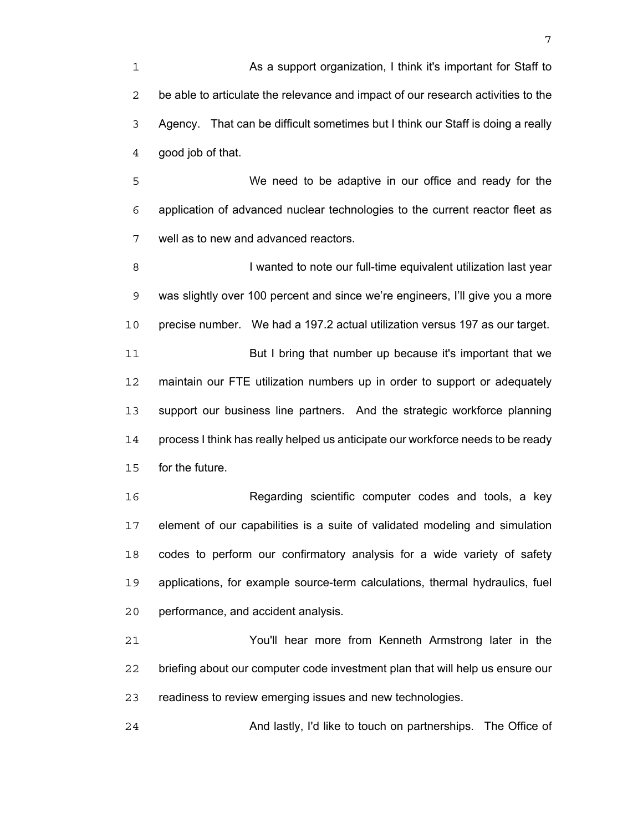As a support organization, I think it's important for Staff to be able to articulate the relevance and impact of our research activities to the Agency. That can be difficult sometimes but I think our Staff is doing a really good job of that.

We need to be adaptive in our office and ready for the application of advanced nuclear technologies to the current reactor fleet as well as to new and advanced reactors.

**I** wanted to note our full-time equivalent utilization last year was slightly over 100 percent and since we're engineers, I'll give you a more precise number. We had a 197.2 actual utilization versus 197 as our target. But I bring that number up because it's important that we maintain our FTE utilization numbers up in order to support or adequately support our business line partners. And the strategic workforce planning process I think has really helped us anticipate our workforce needs to be ready

for the future.

Regarding scientific computer codes and tools, a key element of our capabilities is a suite of validated modeling and simulation codes to perform our confirmatory analysis for a wide variety of safety applications, for example source-term calculations, thermal hydraulics, fuel performance, and accident analysis.

You'll hear more from Kenneth Armstrong later in the briefing about our computer code investment plan that will help us ensure our readiness to review emerging issues and new technologies.

And lastly, I'd like to touch on partnerships. The Office of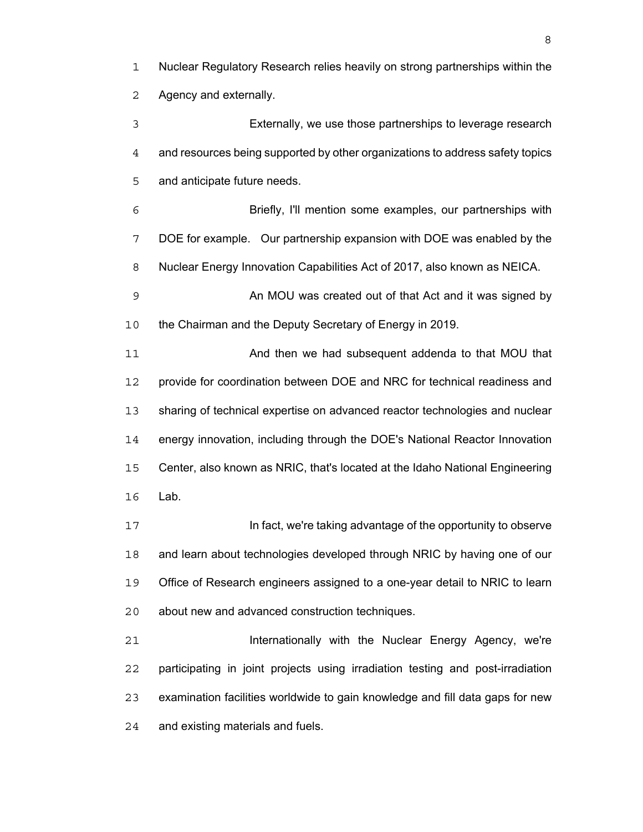Nuclear Regulatory Research relies heavily on strong partnerships within the Agency and externally.

Externally, we use those partnerships to leverage research and resources being supported by other organizations to address safety topics and anticipate future needs.

Briefly, I'll mention some examples, our partnerships with DOE for example. Our partnership expansion with DOE was enabled by the Nuclear Energy Innovation Capabilities Act of 2017, also known as NEICA.

An MOU was created out of that Act and it was signed by 10 the Chairman and the Deputy Secretary of Energy in 2019.

And then we had subsequent addenda to that MOU that provide for coordination between DOE and NRC for technical readiness and sharing of technical expertise on advanced reactor technologies and nuclear energy innovation, including through the DOE's National Reactor Innovation Center, also known as NRIC, that's located at the Idaho National Engineering Lab.

**In fact, we're taking advantage of the opportunity to observe** and learn about technologies developed through NRIC by having one of our Office of Research engineers assigned to a one-year detail to NRIC to learn about new and advanced construction techniques.

**Internationally with the Nuclear Energy Agency, we're** participating in joint projects using irradiation testing and post-irradiation examination facilities worldwide to gain knowledge and fill data gaps for new and existing materials and fuels.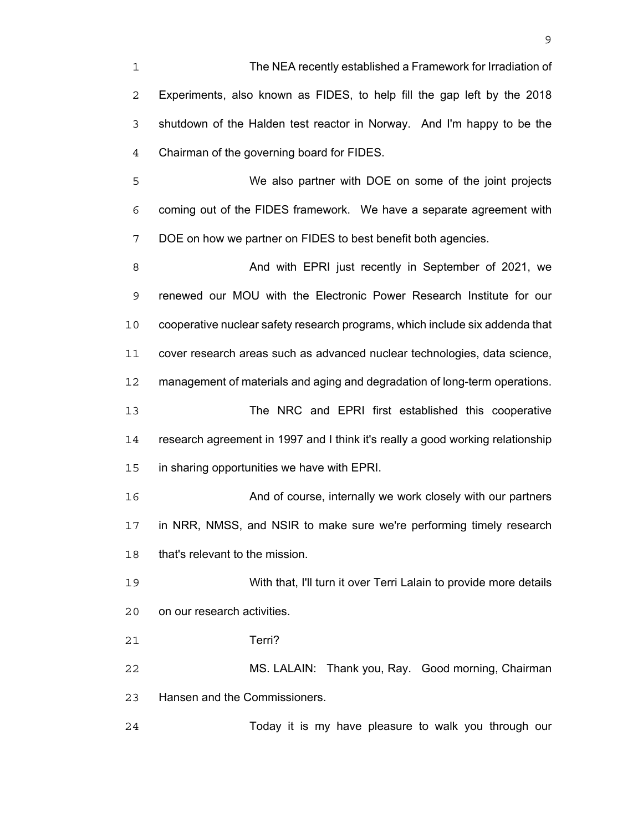The NEA recently established a Framework for Irradiation of Experiments, also known as FIDES, to help fill the gap left by the 2018 shutdown of the Halden test reactor in Norway. And I'm happy to be the Chairman of the governing board for FIDES.

We also partner with DOE on some of the joint projects coming out of the FIDES framework. We have a separate agreement with DOE on how we partner on FIDES to best benefit both agencies.

And with EPRI just recently in September of 2021, we renewed our MOU with the Electronic Power Research Institute for our cooperative nuclear safety research programs, which include six addenda that cover research areas such as advanced nuclear technologies, data science, management of materials and aging and degradation of long-term operations. The NRC and EPRI first established this cooperative research agreement in 1997 and I think it's really a good working relationship in sharing opportunities we have with EPRI. **And of course, internally we work closely with our partners** in NRR, NMSS, and NSIR to make sure we're performing timely research

that's relevant to the mission.

With that, I'll turn it over Terri Lalain to provide more details on our research activities.

Terri?

MS. LALAIN: Thank you, Ray. Good morning, Chairman Hansen and the Commissioners.

Today it is my have pleasure to walk you through our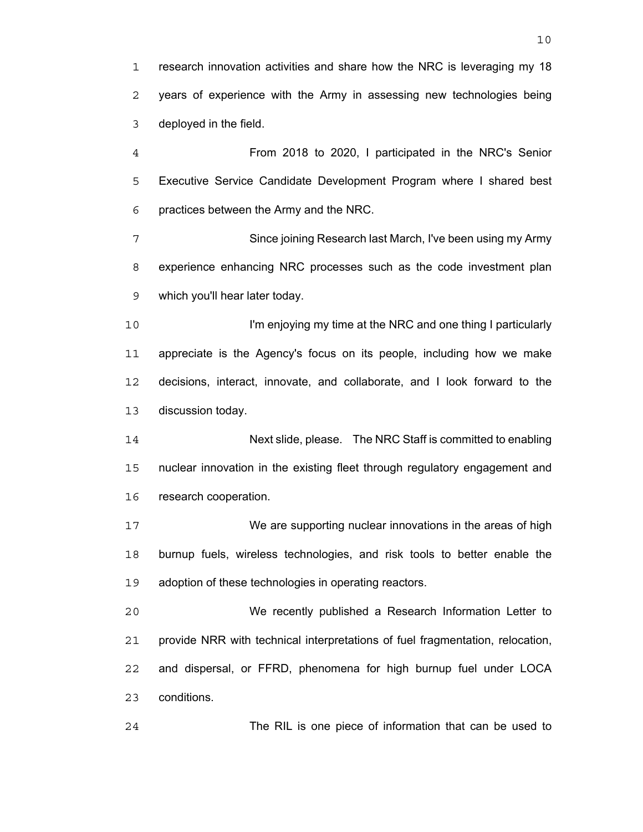research innovation activities and share how the NRC is leveraging my 18 years of experience with the Army in assessing new technologies being deployed in the field.

From 2018 to 2020, I participated in the NRC's Senior Executive Service Candidate Development Program where I shared best practices between the Army and the NRC.

Since joining Research last March, I've been using my Army experience enhancing NRC processes such as the code investment plan which you'll hear later today.

**I'm enjoying my time at the NRC and one thing I particularly** appreciate is the Agency's focus on its people, including how we make decisions, interact, innovate, and collaborate, and I look forward to the discussion today.

Next slide, please. The NRC Staff is committed to enabling nuclear innovation in the existing fleet through regulatory engagement and research cooperation.

We are supporting nuclear innovations in the areas of high burnup fuels, wireless technologies, and risk tools to better enable the adoption of these technologies in operating reactors.

We recently published a Research Information Letter to provide NRR with technical interpretations of fuel fragmentation, relocation, and dispersal, or FFRD, phenomena for high burnup fuel under LOCA conditions.

The RIL is one piece of information that can be used to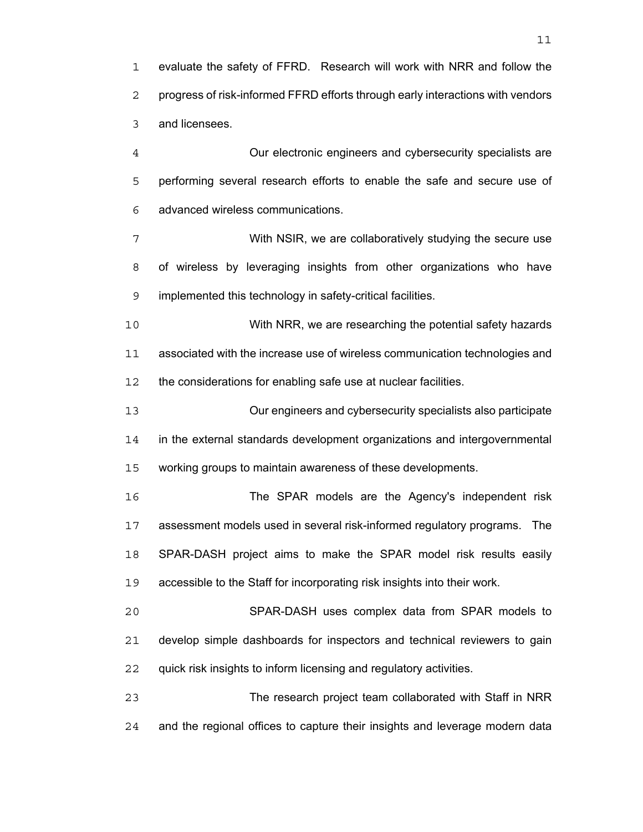evaluate the safety of FFRD. Research will work with NRR and follow the progress of risk-informed FFRD efforts through early interactions with vendors and licensees.

Our electronic engineers and cybersecurity specialists are performing several research efforts to enable the safe and secure use of advanced wireless communications.

With NSIR, we are collaboratively studying the secure use of wireless by leveraging insights from other organizations who have implemented this technology in safety-critical facilities.

With NRR, we are researching the potential safety hazards associated with the increase use of wireless communication technologies and 12 the considerations for enabling safe use at nuclear facilities.

Our engineers and cybersecurity specialists also participate in the external standards development organizations and intergovernmental working groups to maintain awareness of these developments.

The SPAR models are the Agency's independent risk assessment models used in several risk-informed regulatory programs. The SPAR-DASH project aims to make the SPAR model risk results easily accessible to the Staff for incorporating risk insights into their work.

SPAR-DASH uses complex data from SPAR models to develop simple dashboards for inspectors and technical reviewers to gain 22 quick risk insights to inform licensing and regulatory activities.

The research project team collaborated with Staff in NRR and the regional offices to capture their insights and leverage modern data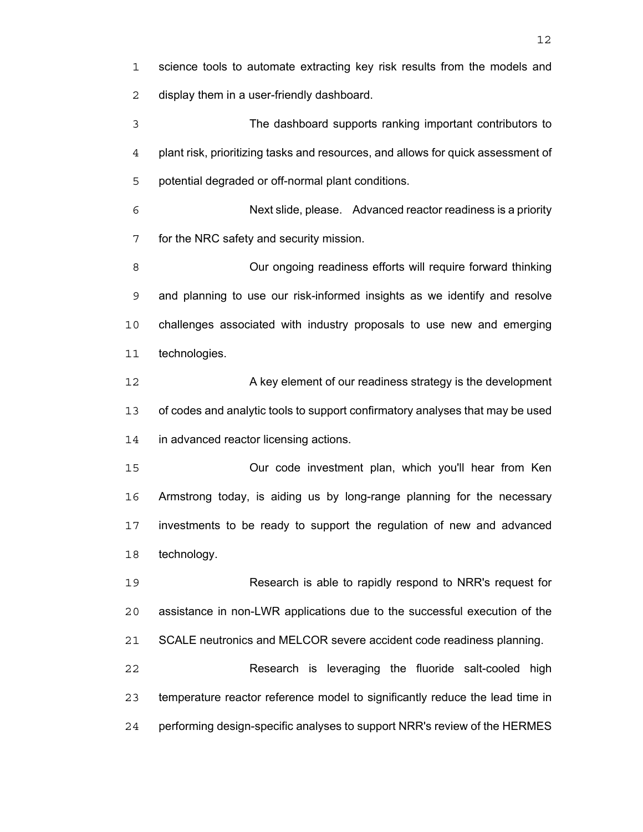science tools to automate extracting key risk results from the models and display them in a user-friendly dashboard.

The dashboard supports ranking important contributors to plant risk, prioritizing tasks and resources, and allows for quick assessment of potential degraded or off-normal plant conditions.

Next slide, please. Advanced reactor readiness is a priority for the NRC safety and security mission.

Our ongoing readiness efforts will require forward thinking and planning to use our risk-informed insights as we identify and resolve challenges associated with industry proposals to use new and emerging technologies.

A key element of our readiness strategy is the development of codes and analytic tools to support confirmatory analyses that may be used in advanced reactor licensing actions.

Our code investment plan, which you'll hear from Ken Armstrong today, is aiding us by long-range planning for the necessary investments to be ready to support the regulation of new and advanced technology.

Research is able to rapidly respond to NRR's request for assistance in non-LWR applications due to the successful execution of the 21 SCALE neutronics and MELCOR severe accident code readiness planning.

Research is leveraging the fluoride salt-cooled high temperature reactor reference model to significantly reduce the lead time in performing design-specific analyses to support NRR's review of the HERMES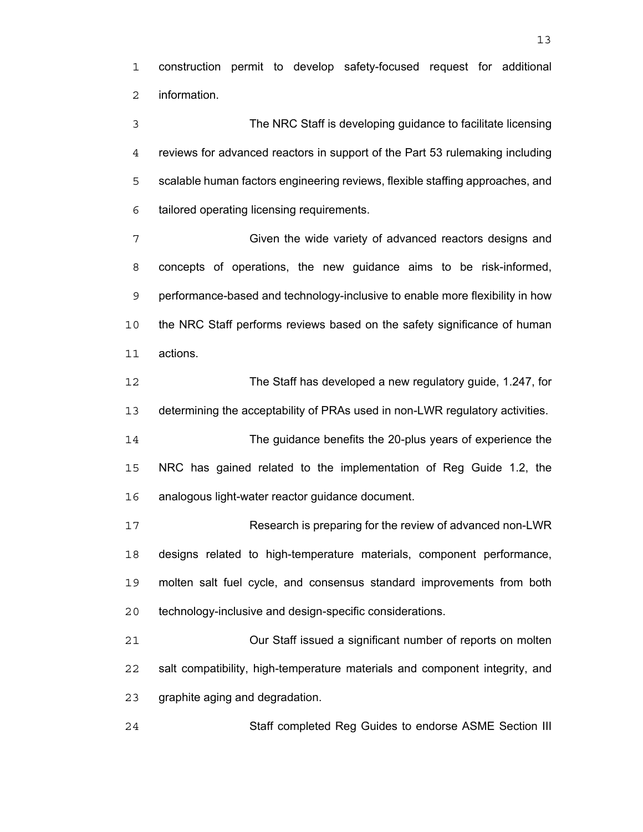construction permit to develop safety-focused request for additional information.

The NRC Staff is developing guidance to facilitate licensing reviews for advanced reactors in support of the Part 53 rulemaking including scalable human factors engineering reviews, flexible staffing approaches, and tailored operating licensing requirements.

Given the wide variety of advanced reactors designs and concepts of operations, the new guidance aims to be risk-informed, performance-based and technology-inclusive to enable more flexibility in how the NRC Staff performs reviews based on the safety significance of human actions.

The Staff has developed a new regulatory guide, 1.247, for determining the acceptability of PRAs used in non-LWR regulatory activities.

The guidance benefits the 20-plus years of experience the NRC has gained related to the implementation of Reg Guide 1.2, the analogous light-water reactor guidance document.

Research is preparing for the review of advanced non-LWR designs related to high-temperature materials, component performance, molten salt fuel cycle, and consensus standard improvements from both technology-inclusive and design-specific considerations.

Our Staff issued a significant number of reports on molten salt compatibility, high-temperature materials and component integrity, and graphite aging and degradation.

Staff completed Reg Guides to endorse ASME Section III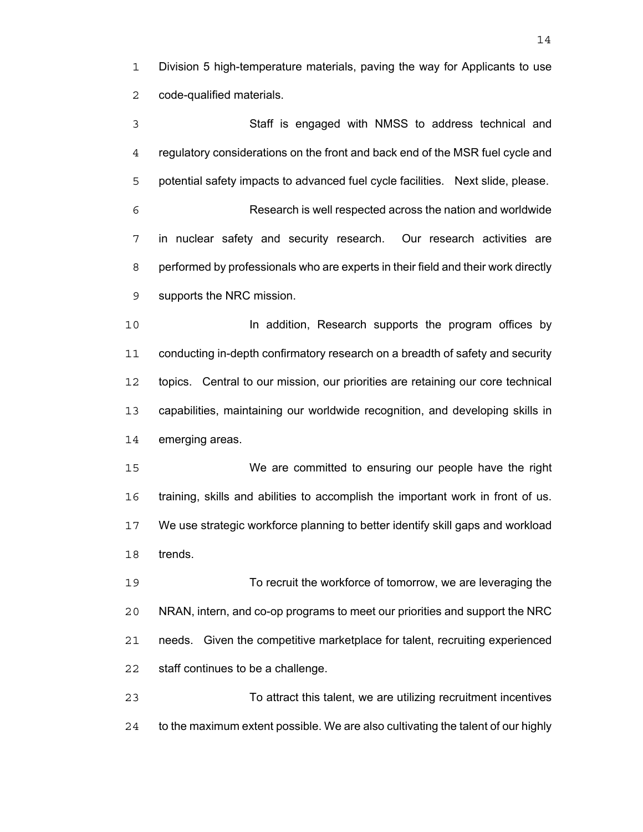Division 5 high-temperature materials, paving the way for Applicants to use code-qualified materials.

Staff is engaged with NMSS to address technical and regulatory considerations on the front and back end of the MSR fuel cycle and potential safety impacts to advanced fuel cycle facilities. Next slide, please. Research is well respected across the nation and worldwide in nuclear safety and security research. Our research activities are performed by professionals who are experts in their field and their work directly supports the NRC mission. **In addition, Research supports the program offices by** conducting in-depth confirmatory research on a breadth of safety and security

topics. Central to our mission, our priorities are retaining our core technical capabilities, maintaining our worldwide recognition, and developing skills in emerging areas.

We are committed to ensuring our people have the right training, skills and abilities to accomplish the important work in front of us. We use strategic workforce planning to better identify skill gaps and workload trends.

To recruit the workforce of tomorrow, we are leveraging the NRAN, intern, and co-op programs to meet our priorities and support the NRC needs. Given the competitive marketplace for talent, recruiting experienced staff continues to be a challenge.

To attract this talent, we are utilizing recruitment incentives to the maximum extent possible. We are also cultivating the talent of our highly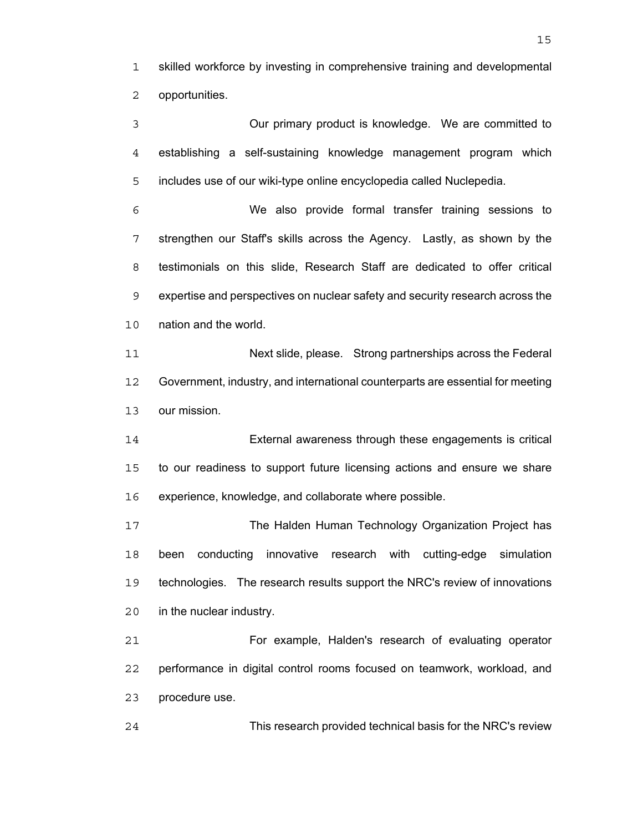skilled workforce by investing in comprehensive training and developmental opportunities.

Our primary product is knowledge. We are committed to establishing a self-sustaining knowledge management program which includes use of our wiki-type online encyclopedia called Nuclepedia. We also provide formal transfer training sessions to strengthen our Staff's skills across the Agency. Lastly, as shown by the testimonials on this slide, Research Staff are dedicated to offer critical expertise and perspectives on nuclear safety and security research across the nation and the world. Next slide, please. Strong partnerships across the Federal Government, industry, and international counterparts are essential for meeting our mission. External awareness through these engagements is critical to our readiness to support future licensing actions and ensure we share experience, knowledge, and collaborate where possible. The Halden Human Technology Organization Project has been conducting innovative research with cutting-edge simulation technologies. The research results support the NRC's review of innovations in the nuclear industry. For example, Halden's research of evaluating operator performance in digital control rooms focused on teamwork, workload, and procedure use.

This research provided technical basis for the NRC's review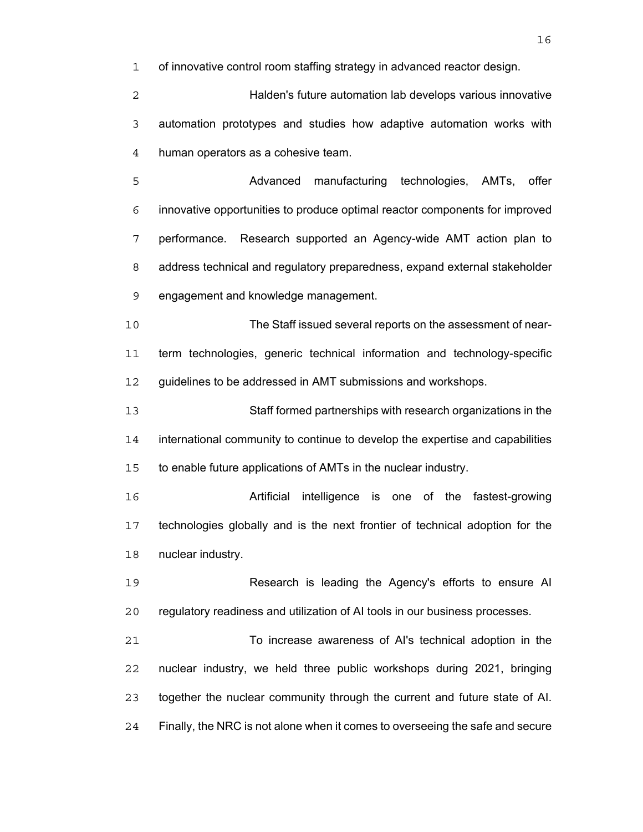of innovative control room staffing strategy in advanced reactor design.

Halden's future automation lab develops various innovative automation prototypes and studies how adaptive automation works with human operators as a cohesive team.

Advanced manufacturing technologies, AMTs, offer innovative opportunities to produce optimal reactor components for improved performance. Research supported an Agency-wide AMT action plan to address technical and regulatory preparedness, expand external stakeholder engagement and knowledge management.

The Staff issued several reports on the assessment of near-term technologies, generic technical information and technology-specific guidelines to be addressed in AMT submissions and workshops.

Staff formed partnerships with research organizations in the international community to continue to develop the expertise and capabilities to enable future applications of AMTs in the nuclear industry.

Artificial intelligence is one of the fastest-growing technologies globally and is the next frontier of technical adoption for the nuclear industry.

Research is leading the Agency's efforts to ensure AI regulatory readiness and utilization of AI tools in our business processes.

To increase awareness of AI's technical adoption in the nuclear industry, we held three public workshops during 2021, bringing together the nuclear community through the current and future state of AI. Finally, the NRC is not alone when it comes to overseeing the safe and secure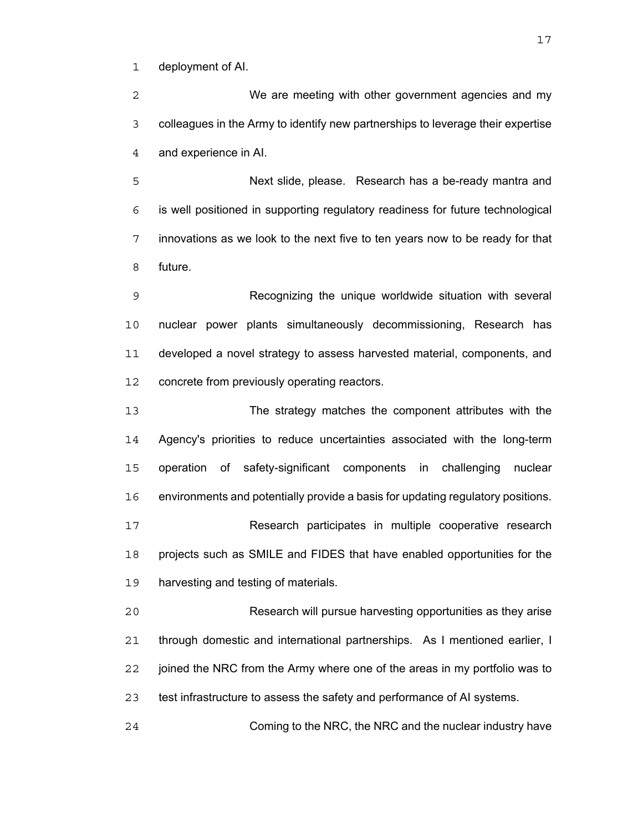deployment of AI.

We are meeting with other government agencies and my colleagues in the Army to identify new partnerships to leverage their expertise and experience in AI.

Next slide, please. Research has a be-ready mantra and is well positioned in supporting regulatory readiness for future technological innovations as we look to the next five to ten years now to be ready for that future.

Recognizing the unique worldwide situation with several nuclear power plants simultaneously decommissioning, Research has developed a novel strategy to assess harvested material, components, and 12 concrete from previously operating reactors.

The strategy matches the component attributes with the Agency's priorities to reduce uncertainties associated with the long-term operation of safety-significant components in challenging nuclear environments and potentially provide a basis for updating regulatory positions. Research participates in multiple cooperative research projects such as SMILE and FIDES that have enabled opportunities for the harvesting and testing of materials.

Research will pursue harvesting opportunities as they arise through domestic and international partnerships. As I mentioned earlier, I joined the NRC from the Army where one of the areas in my portfolio was to test infrastructure to assess the safety and performance of AI systems.

Coming to the NRC, the NRC and the nuclear industry have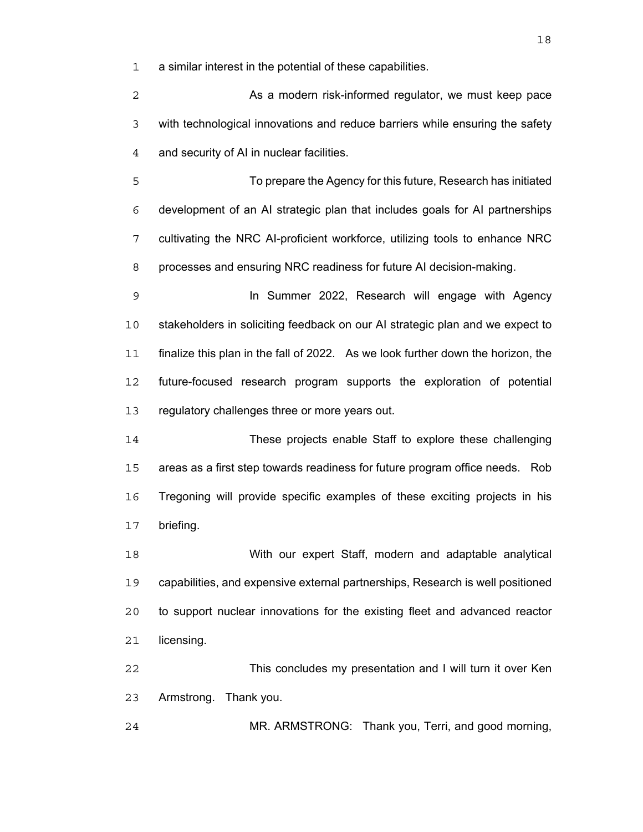a similar interest in the potential of these capabilities.

**As a modern risk-informed regulator, we must keep pace** with technological innovations and reduce barriers while ensuring the safety and security of AI in nuclear facilities.

To prepare the Agency for this future, Research has initiated development of an AI strategic plan that includes goals for AI partnerships cultivating the NRC AI-proficient workforce, utilizing tools to enhance NRC processes and ensuring NRC readiness for future AI decision-making.

In Summer 2022, Research will engage with Agency stakeholders in soliciting feedback on our AI strategic plan and we expect to finalize this plan in the fall of 2022. As we look further down the horizon, the future-focused research program supports the exploration of potential regulatory challenges three or more years out.

These projects enable Staff to explore these challenging areas as a first step towards readiness for future program office needs. Rob Tregoning will provide specific examples of these exciting projects in his briefing.

With our expert Staff, modern and adaptable analytical capabilities, and expensive external partnerships, Research is well positioned to support nuclear innovations for the existing fleet and advanced reactor licensing.

This concludes my presentation and I will turn it over Ken Armstrong. Thank you.

MR. ARMSTRONG: Thank you, Terri, and good morning,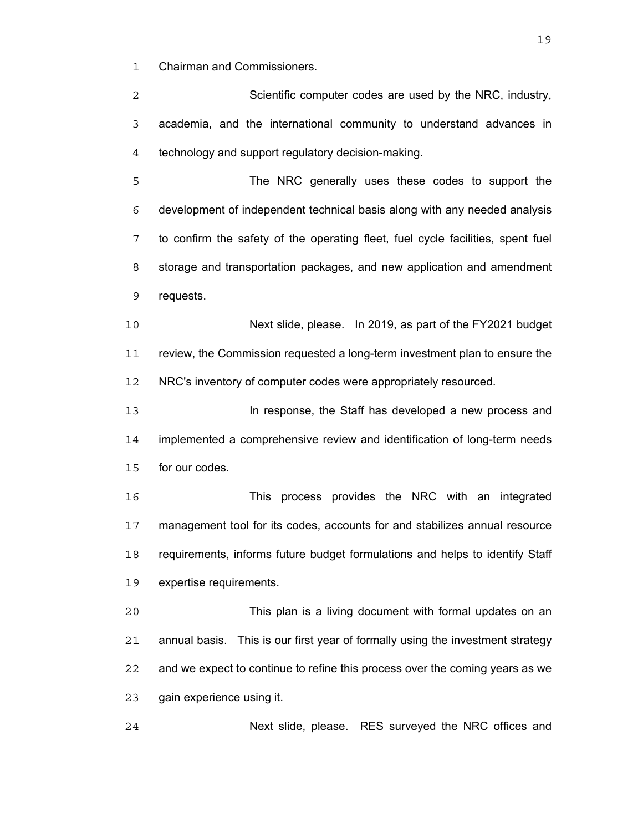Chairman and Commissioners.

Scientific computer codes are used by the NRC, industry, academia, and the international community to understand advances in technology and support regulatory decision-making.

The NRC generally uses these codes to support the development of independent technical basis along with any needed analysis to confirm the safety of the operating fleet, fuel cycle facilities, spent fuel storage and transportation packages, and new application and amendment requests.

Next slide, please. In 2019, as part of the FY2021 budget review, the Commission requested a long-term investment plan to ensure the NRC's inventory of computer codes were appropriately resourced.

**In response, the Staff has developed a new process and** implemented a comprehensive review and identification of long-term needs for our codes.

This process provides the NRC with an integrated management tool for its codes, accounts for and stabilizes annual resource requirements, informs future budget formulations and helps to identify Staff expertise requirements.

This plan is a living document with formal updates on an annual basis. This is our first year of formally using the investment strategy and we expect to continue to refine this process over the coming years as we gain experience using it.

Next slide, please. RES surveyed the NRC offices and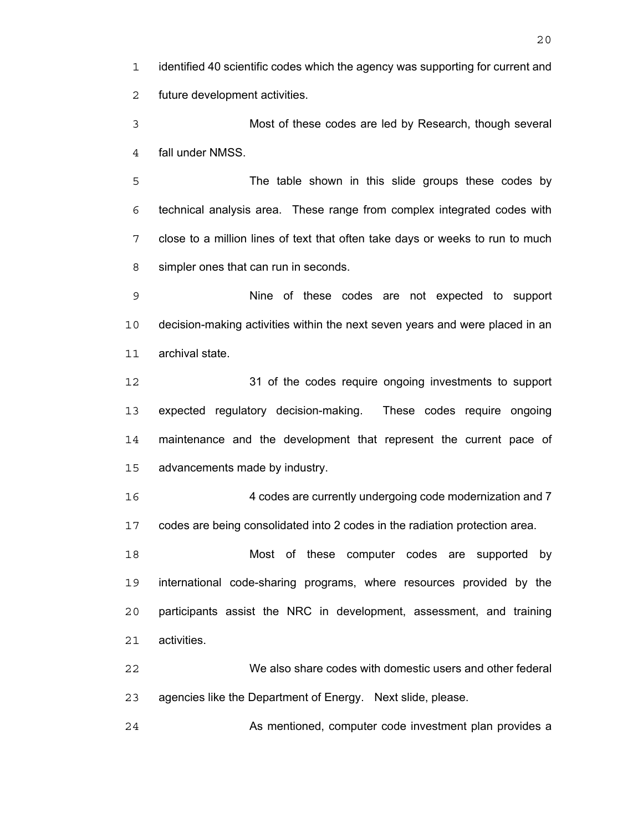identified 40 scientific codes which the agency was supporting for current and future development activities.

Most of these codes are led by Research, though several fall under NMSS.

The table shown in this slide groups these codes by technical analysis area. These range from complex integrated codes with close to a million lines of text that often take days or weeks to run to much simpler ones that can run in seconds.

Nine of these codes are not expected to support decision-making activities within the next seven years and were placed in an archival state.

31 of the codes require ongoing investments to support expected regulatory decision-making. These codes require ongoing maintenance and the development that represent the current pace of advancements made by industry.

4 codes are currently undergoing code modernization and 7 codes are being consolidated into 2 codes in the radiation protection area.

Most of these computer codes are supported by international code-sharing programs, where resources provided by the participants assist the NRC in development, assessment, and training activities.

We also share codes with domestic users and other federal agencies like the Department of Energy. Next slide, please.

As mentioned, computer code investment plan provides a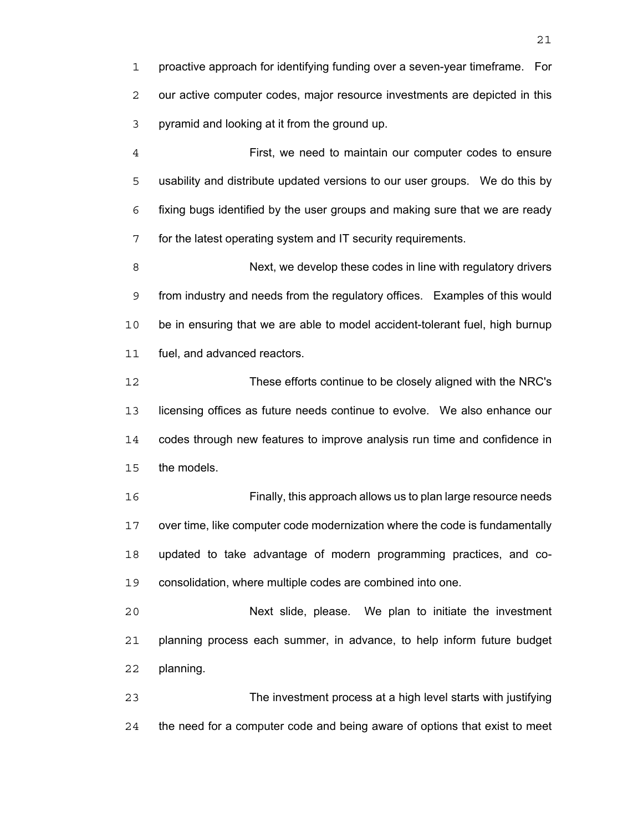proactive approach for identifying funding over a seven-year timeframe. For our active computer codes, major resource investments are depicted in this pyramid and looking at it from the ground up.

First, we need to maintain our computer codes to ensure usability and distribute updated versions to our user groups. We do this by fixing bugs identified by the user groups and making sure that we are ready for the latest operating system and IT security requirements.

Next, we develop these codes in line with regulatory drivers from industry and needs from the regulatory offices. Examples of this would be in ensuring that we are able to model accident-tolerant fuel, high burnup fuel, and advanced reactors.

These efforts continue to be closely aligned with the NRC's licensing offices as future needs continue to evolve. We also enhance our codes through new features to improve analysis run time and confidence in the models.

Finally, this approach allows us to plan large resource needs over time, like computer code modernization where the code is fundamentally updated to take advantage of modern programming practices, and co-consolidation, where multiple codes are combined into one.

Next slide, please. We plan to initiate the investment planning process each summer, in advance, to help inform future budget planning.

The investment process at a high level starts with justifying the need for a computer code and being aware of options that exist to meet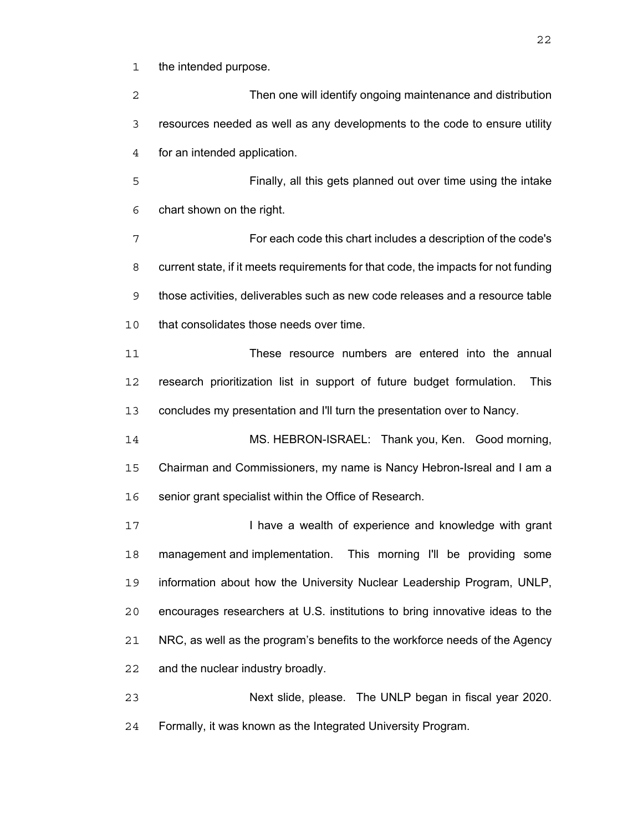the intended purpose.

Then one will identify ongoing maintenance and distribution resources needed as well as any developments to the code to ensure utility for an intended application. Finally, all this gets planned out over time using the intake chart shown on the right. For each code this chart includes a description of the code's current state, if it meets requirements for that code, the impacts for not funding those activities, deliverables such as new code releases and a resource table that consolidates those needs over time. These resource numbers are entered into the annual research prioritization list in support of future budget formulation. This concludes my presentation and I'll turn the presentation over to Nancy. MS. HEBRON-ISRAEL: Thank you, Ken. Good morning, Chairman and Commissioners, my name is Nancy Hebron-Isreal and I am a 16 senior grant specialist within the Office of Research. **I have a wealth of experience and knowledge with grant** management and implementation. This morning I'll be providing some information about how the University Nuclear Leadership Program, UNLP, encourages researchers at U.S. institutions to bring innovative ideas to the NRC, as well as the program's benefits to the workforce needs of the Agency and the nuclear industry broadly. Next slide, please. The UNLP began in fiscal year 2020. Formally, it was known as the Integrated University Program.

<u>22</u>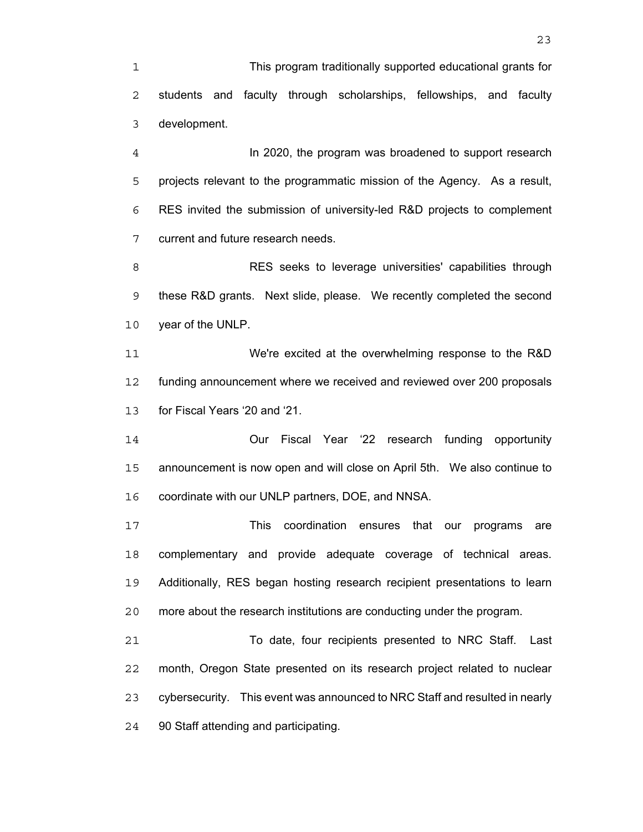This program traditionally supported educational grants for students and faculty through scholarships, fellowships, and faculty development.

In 2020, the program was broadened to support research projects relevant to the programmatic mission of the Agency. As a result, RES invited the submission of university-led R&D projects to complement current and future research needs.

RES seeks to leverage universities' capabilities through these R&D grants. Next slide, please. We recently completed the second year of the UNLP.

We're excited at the overwhelming response to the R&D funding announcement where we received and reviewed over 200 proposals for Fiscal Years '20 and '21.

Our Fiscal Year '22 research funding opportunity announcement is now open and will close on April 5th. We also continue to coordinate with our UNLP partners, DOE, and NNSA.

This coordination ensures that our programs are complementary and provide adequate coverage of technical areas. Additionally, RES began hosting research recipient presentations to learn more about the research institutions are conducting under the program.

To date, four recipients presented to NRC Staff. Last month, Oregon State presented on its research project related to nuclear cybersecurity. This event was announced to NRC Staff and resulted in nearly 90 Staff attending and participating.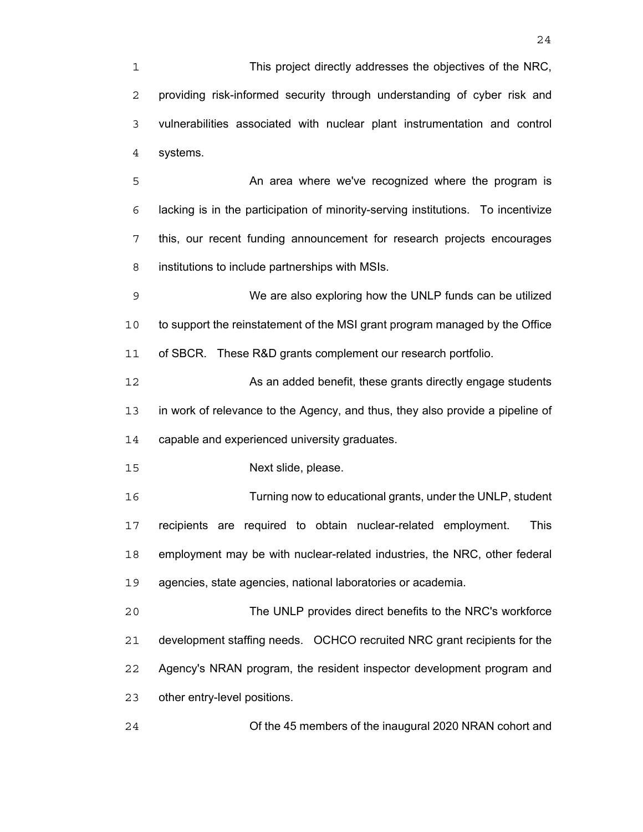This project directly addresses the objectives of the NRC, providing risk-informed security through understanding of cyber risk and vulnerabilities associated with nuclear plant instrumentation and control systems.

**An area where we've recognized where the program is** lacking is in the participation of minority-serving institutions. To incentivize this, our recent funding announcement for research projects encourages institutions to include partnerships with MSIs.

We are also exploring how the UNLP funds can be utilized to support the reinstatement of the MSI grant program managed by the Office of SBCR. These R&D grants complement our research portfolio.

**As an added benefit, these grants directly engage students** in work of relevance to the Agency, and thus, they also provide a pipeline of capable and experienced university graduates.

Next slide, please.

Turning now to educational grants, under the UNLP, student recipients are required to obtain nuclear-related employment. This employment may be with nuclear-related industries, the NRC, other federal agencies, state agencies, national laboratories or academia.

The UNLP provides direct benefits to the NRC's workforce development staffing needs. OCHCO recruited NRC grant recipients for the Agency's NRAN program, the resident inspector development program and other entry-level positions.

Of the 45 members of the inaugural 2020 NRAN cohort and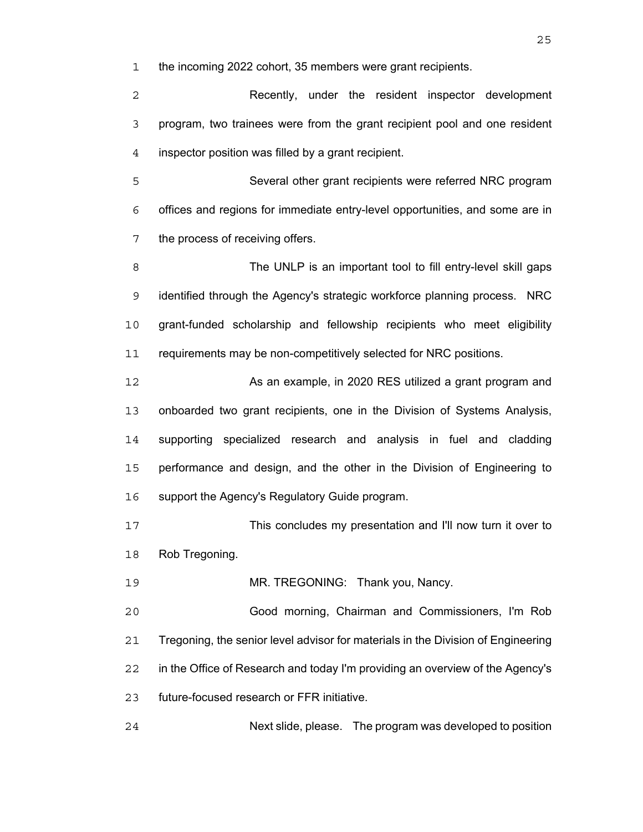the incoming 2022 cohort, 35 members were grant recipients.

Recently, under the resident inspector development program, two trainees were from the grant recipient pool and one resident inspector position was filled by a grant recipient.

Several other grant recipients were referred NRC program offices and regions for immediate entry-level opportunities, and some are in the process of receiving offers.

The UNLP is an important tool to fill entry-level skill gaps identified through the Agency's strategic workforce planning process. NRC grant-funded scholarship and fellowship recipients who meet eligibility 11 requirements may be non-competitively selected for NRC positions.

**As an example, in 2020 RES utilized a grant program and** onboarded two grant recipients, one in the Division of Systems Analysis, supporting specialized research and analysis in fuel and cladding performance and design, and the other in the Division of Engineering to 16 support the Agency's Regulatory Guide program.

This concludes my presentation and I'll now turn it over to Rob Tregoning.

MR. TREGONING: Thank you, Nancy.

Good morning, Chairman and Commissioners, I'm Rob Tregoning, the senior level advisor for materials in the Division of Engineering in the Office of Research and today I'm providing an overview of the Agency's future-focused research or FFR initiative.

Next slide, please. The program was developed to position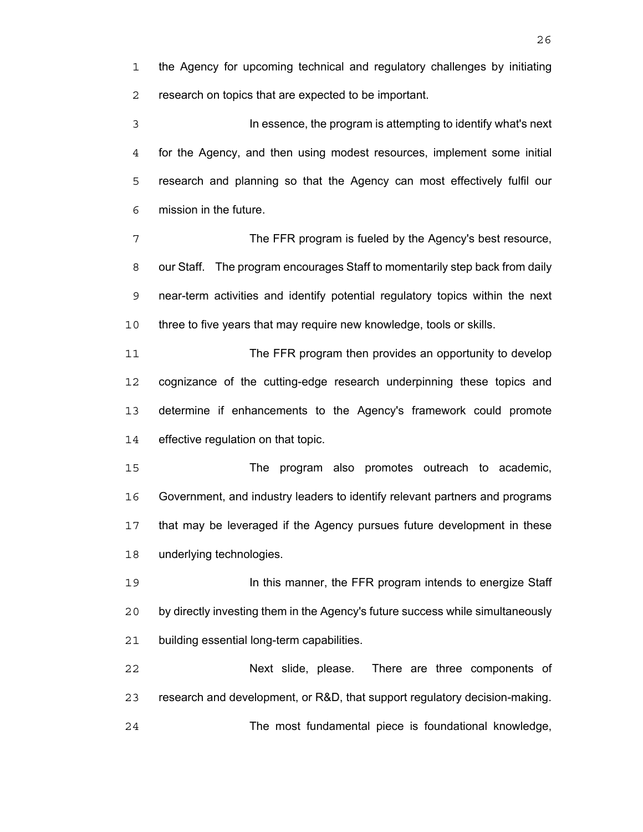the Agency for upcoming technical and regulatory challenges by initiating research on topics that are expected to be important.

In essence, the program is attempting to identify what's next for the Agency, and then using modest resources, implement some initial research and planning so that the Agency can most effectively fulfil our mission in the future.

The FFR program is fueled by the Agency's best resource, our Staff. The program encourages Staff to momentarily step back from daily near-term activities and identify potential regulatory topics within the next three to five years that may require new knowledge, tools or skills.

The FFR program then provides an opportunity to develop cognizance of the cutting-edge research underpinning these topics and determine if enhancements to the Agency's framework could promote effective regulation on that topic.

The program also promotes outreach to academic, Government, and industry leaders to identify relevant partners and programs that may be leveraged if the Agency pursues future development in these underlying technologies.

**In this manner, the FFR program intends to energize Staff** by directly investing them in the Agency's future success while simultaneously building essential long-term capabilities.

Next slide, please. There are three components of research and development, or R&D, that support regulatory decision-making. The most fundamental piece is foundational knowledge,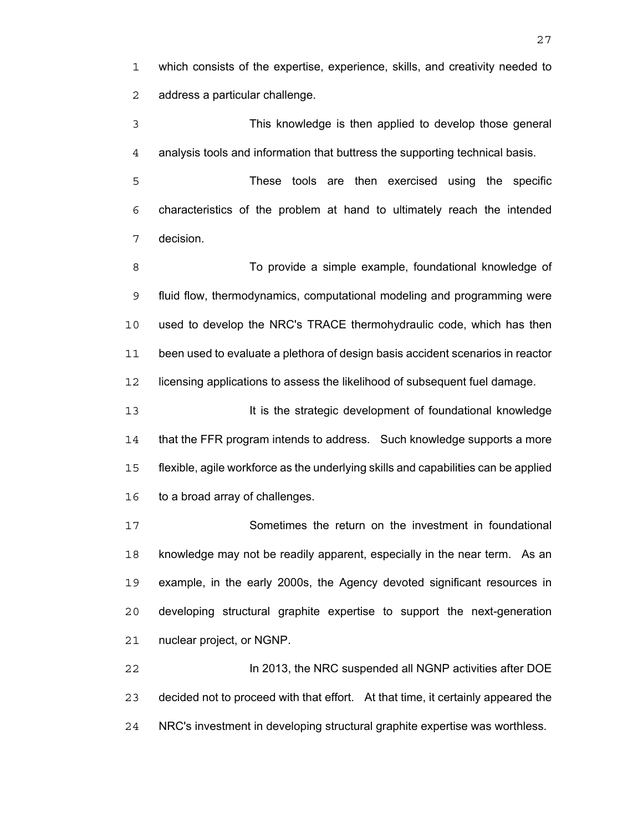which consists of the expertise, experience, skills, and creativity needed to address a particular challenge.

This knowledge is then applied to develop those general analysis tools and information that buttress the supporting technical basis.

These tools are then exercised using the specific characteristics of the problem at hand to ultimately reach the intended decision.

8 To provide a simple example, foundational knowledge of fluid flow, thermodynamics, computational modeling and programming were used to develop the NRC's TRACE thermohydraulic code, which has then been used to evaluate a plethora of design basis accident scenarios in reactor licensing applications to assess the likelihood of subsequent fuel damage.

**It is the strategic development of foundational knowledge** 14 that the FFR program intends to address. Such knowledge supports a more flexible, agile workforce as the underlying skills and capabilities can be applied to a broad array of challenges.

Sometimes the return on the investment in foundational knowledge may not be readily apparent, especially in the near term. As an example, in the early 2000s, the Agency devoted significant resources in developing structural graphite expertise to support the next-generation nuclear project, or NGNP.

In 2013, the NRC suspended all NGNP activities after DOE decided not to proceed with that effort. At that time, it certainly appeared the NRC's investment in developing structural graphite expertise was worthless.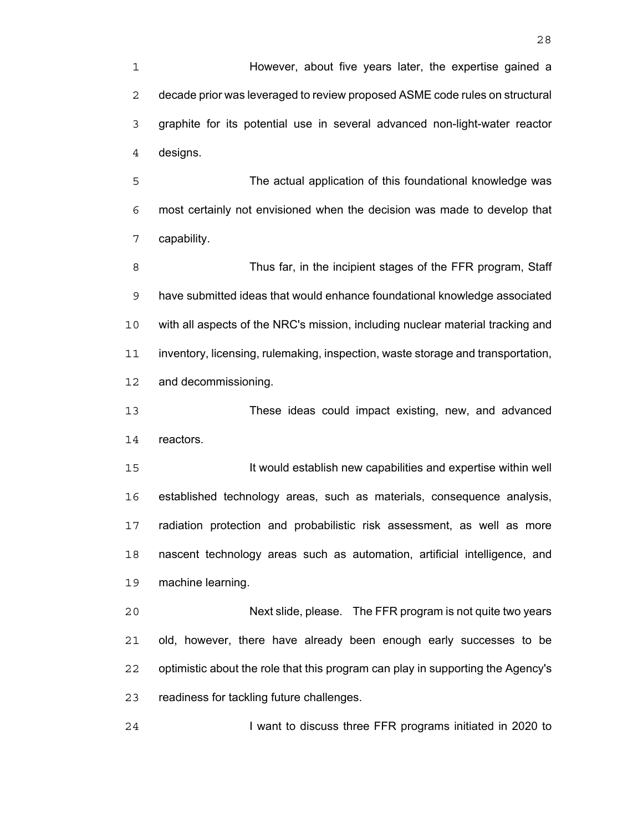However, about five years later, the expertise gained a decade prior was leveraged to review proposed ASME code rules on structural graphite for its potential use in several advanced non-light-water reactor designs.

The actual application of this foundational knowledge was most certainly not envisioned when the decision was made to develop that capability.

8 Thus far, in the incipient stages of the FFR program, Staff have submitted ideas that would enhance foundational knowledge associated with all aspects of the NRC's mission, including nuclear material tracking and inventory, licensing, rulemaking, inspection, waste storage and transportation, and decommissioning.

These ideas could impact existing, new, and advanced reactors.

It would establish new capabilities and expertise within well established technology areas, such as materials, consequence analysis, radiation protection and probabilistic risk assessment, as well as more nascent technology areas such as automation, artificial intelligence, and machine learning.

Next slide, please. The FFR program is not quite two years old, however, there have already been enough early successes to be optimistic about the role that this program can play in supporting the Agency's readiness for tackling future challenges.

I want to discuss three FFR programs initiated in 2020 to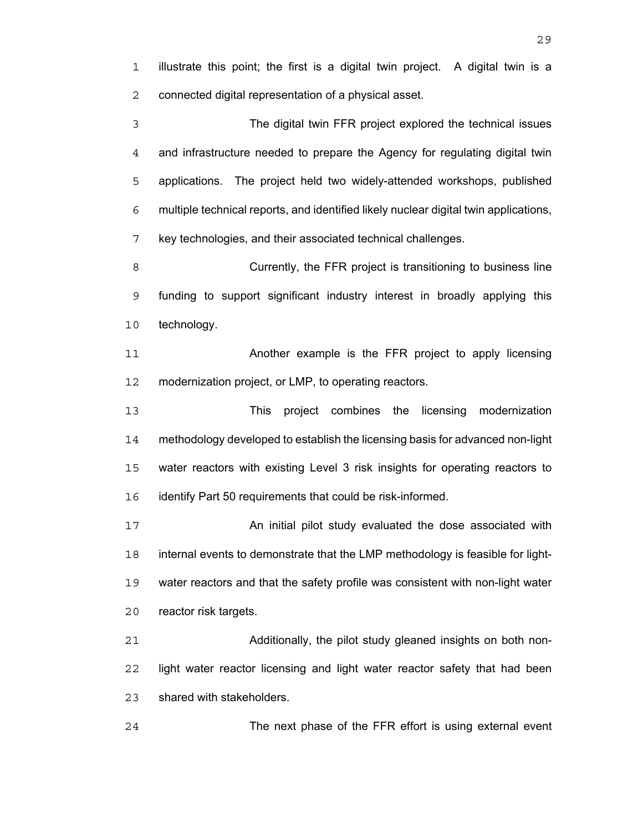illustrate this point; the first is a digital twin project. A digital twin is a connected digital representation of a physical asset.

The digital twin FFR project explored the technical issues and infrastructure needed to prepare the Agency for regulating digital twin applications. The project held two widely-attended workshops, published multiple technical reports, and identified likely nuclear digital twin applications, key technologies, and their associated technical challenges.

Currently, the FFR project is transitioning to business line funding to support significant industry interest in broadly applying this technology.

11 Another example is the FFR project to apply licensing modernization project, or LMP, to operating reactors.

This project combines the licensing modernization methodology developed to establish the licensing basis for advanced non-light water reactors with existing Level 3 risk insights for operating reactors to identify Part 50 requirements that could be risk-informed.

**An initial pilot study evaluated the dose associated with** internal events to demonstrate that the LMP methodology is feasible for light-water reactors and that the safety profile was consistent with non-light water reactor risk targets.

Additionally, the pilot study gleaned insights on both non-light water reactor licensing and light water reactor safety that had been shared with stakeholders.

The next phase of the FFR effort is using external event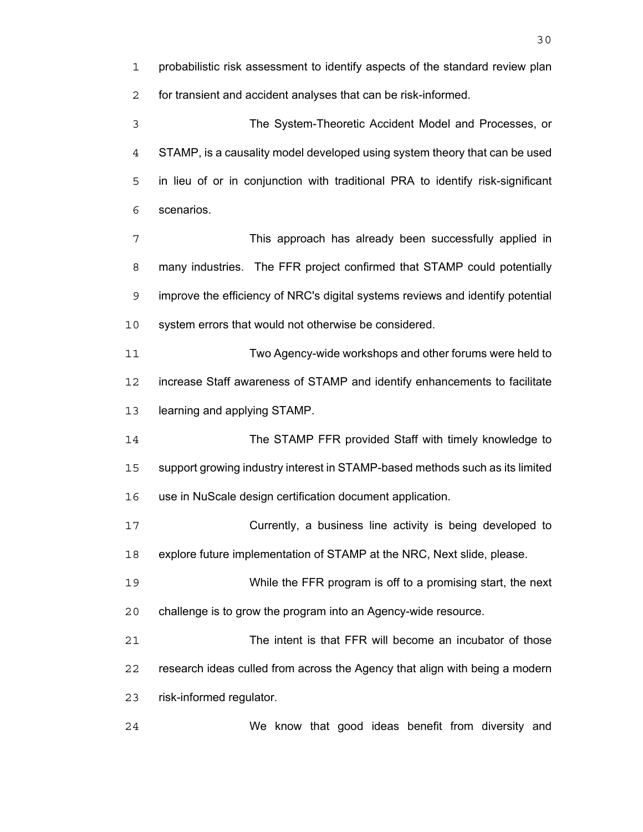probabilistic risk assessment to identify aspects of the standard review plan for transient and accident analyses that can be risk-informed. The System-Theoretic Accident Model and Processes, or STAMP, is a causality model developed using system theory that can be used in lieu of or in conjunction with traditional PRA to identify risk-significant scenarios. This approach has already been successfully applied in many industries. The FFR project confirmed that STAMP could potentially improve the efficiency of NRC's digital systems reviews and identify potential system errors that would not otherwise be considered. Two Agency-wide workshops and other forums were held to increase Staff awareness of STAMP and identify enhancements to facilitate learning and applying STAMP. The STAMP FFR provided Staff with timely knowledge to support growing industry interest in STAMP-based methods such as its limited use in NuScale design certification document application. Currently, a business line activity is being developed to explore future implementation of STAMP at the NRC, Next slide, please. While the FFR program is off to a promising start, the next challenge is to grow the program into an Agency-wide resource. The intent is that FFR will become an incubator of those research ideas culled from across the Agency that align with being a modern risk-informed regulator.

We know that good ideas benefit from diversity and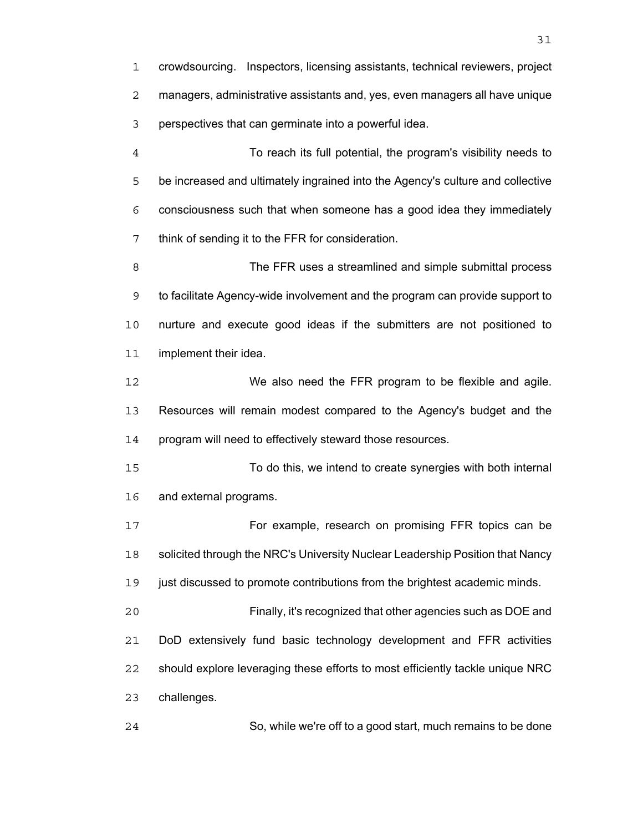crowdsourcing. Inspectors, licensing assistants, technical reviewers, project managers, administrative assistants and, yes, even managers all have unique perspectives that can germinate into a powerful idea.

To reach its full potential, the program's visibility needs to be increased and ultimately ingrained into the Agency's culture and collective consciousness such that when someone has a good idea they immediately think of sending it to the FFR for consideration.

The FFR uses a streamlined and simple submittal process to facilitate Agency-wide involvement and the program can provide support to nurture and execute good ideas if the submitters are not positioned to implement their idea.

We also need the FFR program to be flexible and agile. Resources will remain modest compared to the Agency's budget and the program will need to effectively steward those resources.

To do this, we intend to create synergies with both internal and external programs.

For example, research on promising FFR topics can be 18 solicited through the NRC's University Nuclear Leadership Position that Nancy

just discussed to promote contributions from the brightest academic minds.

Finally, it's recognized that other agencies such as DOE and DoD extensively fund basic technology development and FFR activities should explore leveraging these efforts to most efficiently tackle unique NRC challenges.

So, while we're off to a good start, much remains to be done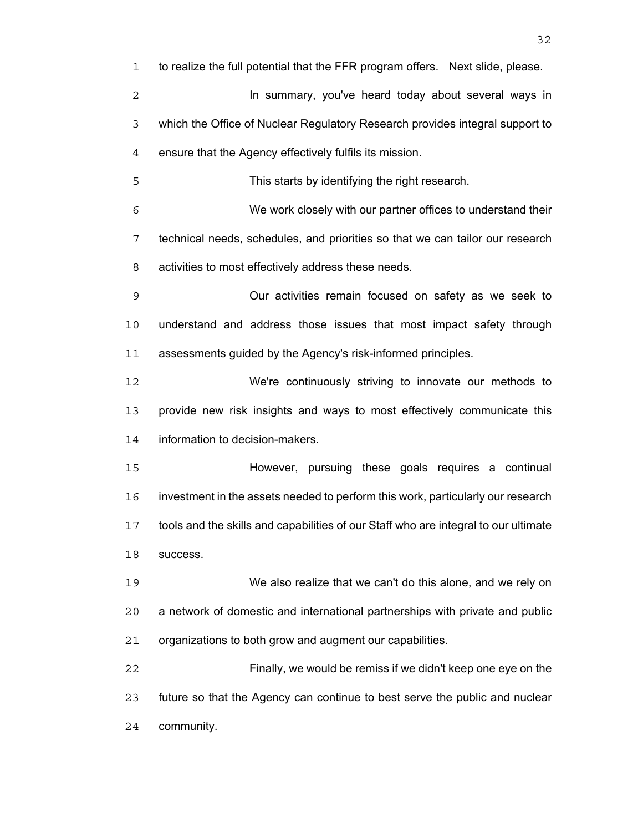to realize the full potential that the FFR program offers. Next slide, please. **In summary, you've heard today about several ways in** which the Office of Nuclear Regulatory Research provides integral support to ensure that the Agency effectively fulfils its mission. This starts by identifying the right research. We work closely with our partner offices to understand their technical needs, schedules, and priorities so that we can tailor our research activities to most effectively address these needs. Our activities remain focused on safety as we seek to understand and address those issues that most impact safety through assessments guided by the Agency's risk-informed principles. We're continuously striving to innovate our methods to provide new risk insights and ways to most effectively communicate this information to decision-makers. However, pursuing these goals requires a continual investment in the assets needed to perform this work, particularly our research tools and the skills and capabilities of our Staff who are integral to our ultimate success. We also realize that we can't do this alone, and we rely on a network of domestic and international partnerships with private and public organizations to both grow and augment our capabilities. Finally, we would be remiss if we didn't keep one eye on the future so that the Agency can continue to best serve the public and nuclear community.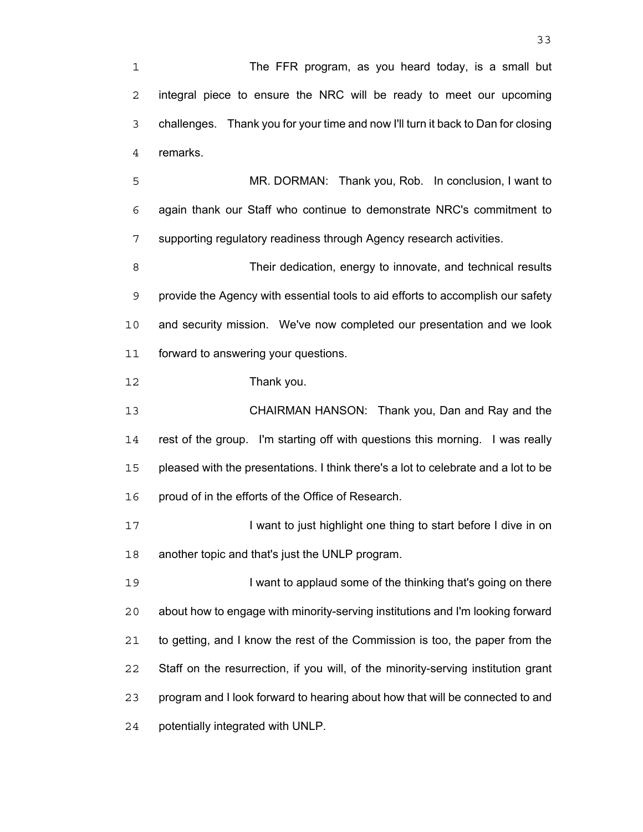The FFR program, as you heard today, is a small but integral piece to ensure the NRC will be ready to meet our upcoming challenges. Thank you for your time and now I'll turn it back to Dan for closing remarks.

MR. DORMAN: Thank you, Rob. In conclusion, I want to again thank our Staff who continue to demonstrate NRC's commitment to supporting regulatory readiness through Agency research activities.

Their dedication, energy to innovate, and technical results provide the Agency with essential tools to aid efforts to accomplish our safety and security mission. We've now completed our presentation and we look forward to answering your questions.

Thank you.

CHAIRMAN HANSON: Thank you, Dan and Ray and the rest of the group. I'm starting off with questions this morning. I was really pleased with the presentations. I think there's a lot to celebrate and a lot to be proud of in the efforts of the Office of Research.

17 I want to just highlight one thing to start before I dive in on another topic and that's just the UNLP program.

19 I want to applaud some of the thinking that's going on there about how to engage with minority-serving institutions and I'm looking forward to getting, and I know the rest of the Commission is too, the paper from the Staff on the resurrection, if you will, of the minority-serving institution grant program and I look forward to hearing about how that will be connected to and potentially integrated with UNLP.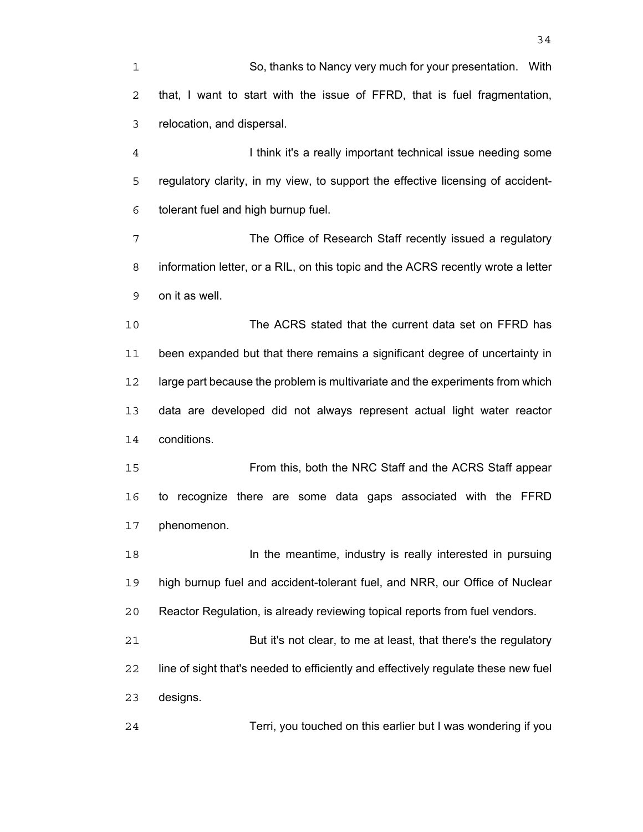So, thanks to Nancy very much for your presentation. With that, I want to start with the issue of FFRD, that is fuel fragmentation, relocation, and dispersal.

I think it's a really important technical issue needing some regulatory clarity, in my view, to support the effective licensing of accident-tolerant fuel and high burnup fuel.

The Office of Research Staff recently issued a regulatory information letter, or a RIL, on this topic and the ACRS recently wrote a letter on it as well.

The ACRS stated that the current data set on FFRD has been expanded but that there remains a significant degree of uncertainty in large part because the problem is multivariate and the experiments from which data are developed did not always represent actual light water reactor conditions.

From this, both the NRC Staff and the ACRS Staff appear to recognize there are some data gaps associated with the FFRD phenomenon.

**In the meantime, industry is really interested in pursuing** high burnup fuel and accident-tolerant fuel, and NRR, our Office of Nuclear Reactor Regulation, is already reviewing topical reports from fuel vendors.

But it's not clear, to me at least, that there's the regulatory line of sight that's needed to efficiently and effectively regulate these new fuel designs.

Terri, you touched on this earlier but I was wondering if you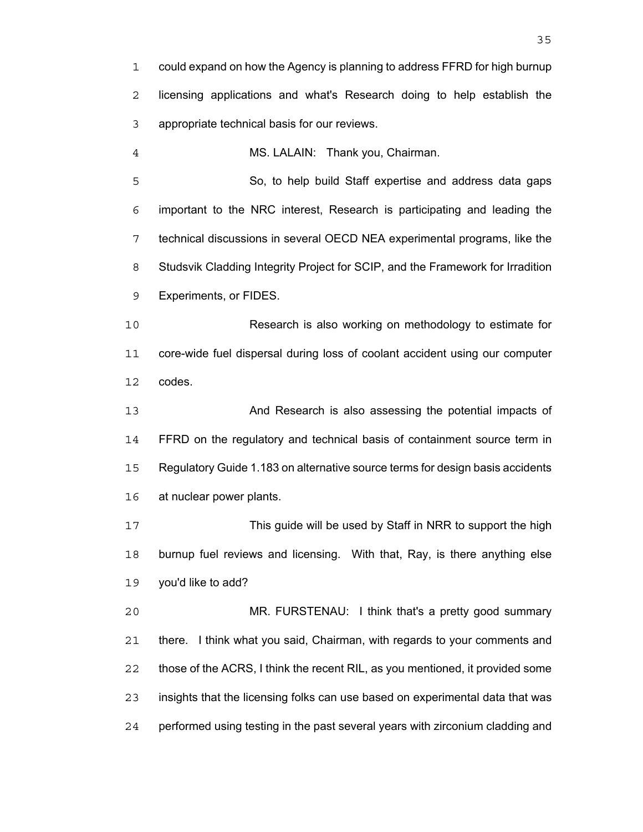could expand on how the Agency is planning to address FFRD for high burnup licensing applications and what's Research doing to help establish the appropriate technical basis for our reviews.

MS. LALAIN: Thank you, Chairman.

So, to help build Staff expertise and address data gaps important to the NRC interest, Research is participating and leading the technical discussions in several OECD NEA experimental programs, like the Studsvik Cladding Integrity Project for SCIP, and the Framework for Irradition Experiments, or FIDES.

Research is also working on methodology to estimate for core-wide fuel dispersal during loss of coolant accident using our computer codes.

And Research is also assessing the potential impacts of FFRD on the regulatory and technical basis of containment source term in Regulatory Guide 1.183 on alternative source terms for design basis accidents at nuclear power plants.

This guide will be used by Staff in NRR to support the high burnup fuel reviews and licensing. With that, Ray, is there anything else you'd like to add?

MR. FURSTENAU: I think that's a pretty good summary there. I think what you said, Chairman, with regards to your comments and those of the ACRS, I think the recent RIL, as you mentioned, it provided some insights that the licensing folks can use based on experimental data that was performed using testing in the past several years with zirconium cladding and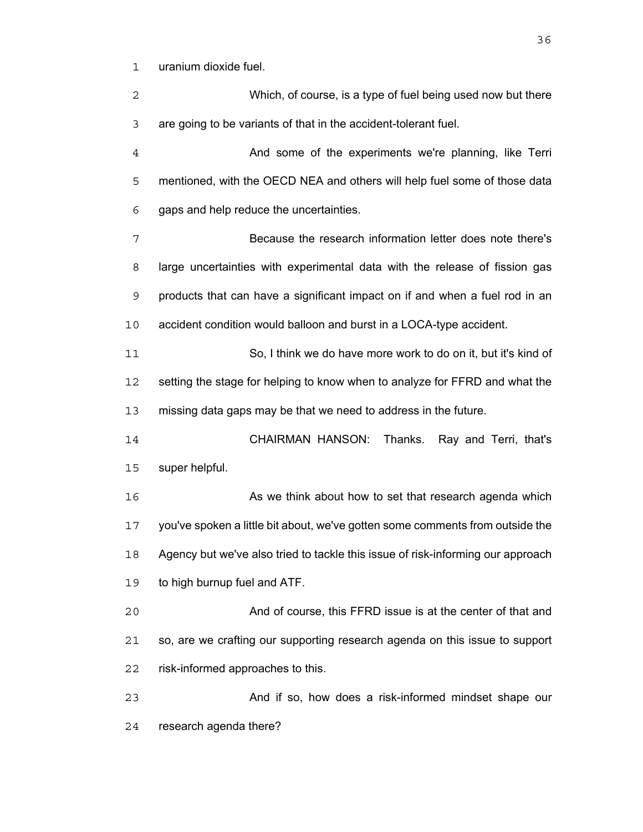uranium dioxide fuel.

Which, of course, is a type of fuel being used now but there are going to be variants of that in the accident-tolerant fuel. And some of the experiments we're planning, like Terri mentioned, with the OECD NEA and others will help fuel some of those data gaps and help reduce the uncertainties. Because the research information letter does note there's large uncertainties with experimental data with the release of fission gas products that can have a significant impact on if and when a fuel rod in an accident condition would balloon and burst in a LOCA-type accident. So, I think we do have more work to do on it, but it's kind of setting the stage for helping to know when to analyze for FFRD and what the missing data gaps may be that we need to address in the future. CHAIRMAN HANSON: Thanks. Ray and Terri, that's super helpful. 16 As we think about how to set that research agenda which you've spoken a little bit about, we've gotten some comments from outside the Agency but we've also tried to tackle this issue of risk-informing our approach to high burnup fuel and ATF. And of course, this FFRD issue is at the center of that and so, are we crafting our supporting research agenda on this issue to support risk-informed approaches to this. And if so, how does a risk-informed mindset shape our research agenda there?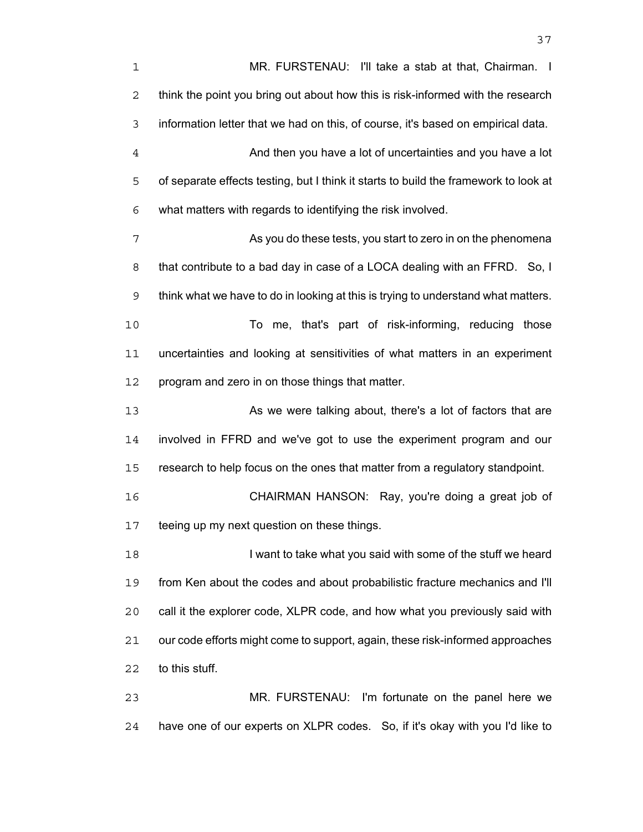MR. FURSTENAU: I'll take a stab at that, Chairman. I think the point you bring out about how this is risk-informed with the research information letter that we had on this, of course, it's based on empirical data. And then you have a lot of uncertainties and you have a lot of separate effects testing, but I think it starts to build the framework to look at what matters with regards to identifying the risk involved. As you do these tests, you start to zero in on the phenomena that contribute to a bad day in case of a LOCA dealing with an FFRD. So, I think what we have to do in looking at this is trying to understand what matters. To me, that's part of risk-informing, reducing those uncertainties and looking at sensitivities of what matters in an experiment program and zero in on those things that matter. 13 As we were talking about, there's a lot of factors that are involved in FFRD and we've got to use the experiment program and our research to help focus on the ones that matter from a regulatory standpoint. CHAIRMAN HANSON: Ray, you're doing a great job of teeing up my next question on these things. 18 I want to take what you said with some of the stuff we heard from Ken about the codes and about probabilistic fracture mechanics and I'll call it the explorer code, XLPR code, and how what you previously said with our code efforts might come to support, again, these risk-informed approaches to this stuff. MR. FURSTENAU: I'm fortunate on the panel here we have one of our experts on XLPR codes. So, if it's okay with you I'd like to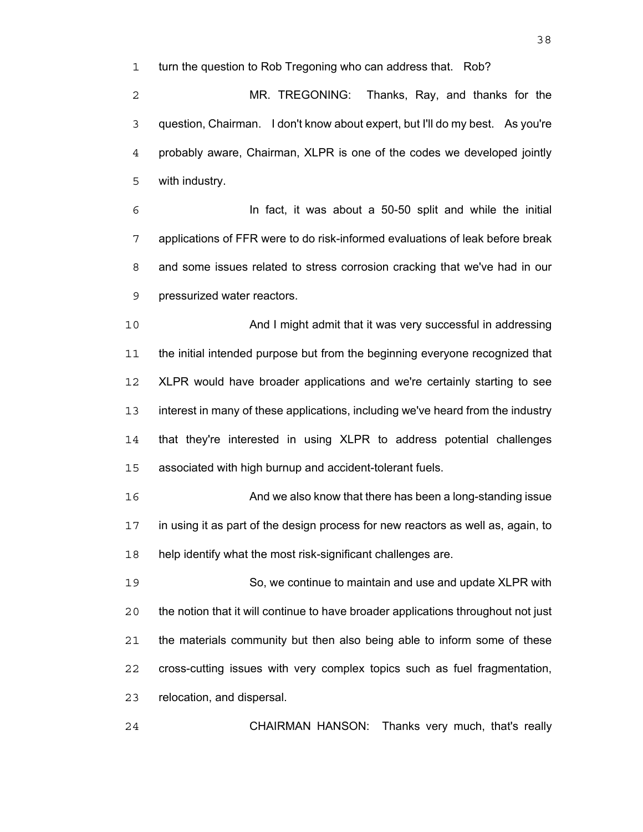turn the question to Rob Tregoning who can address that. Rob?

MR. TREGONING: Thanks, Ray, and thanks for the question, Chairman. I don't know about expert, but I'll do my best. As you're probably aware, Chairman, XLPR is one of the codes we developed jointly with industry.

In fact, it was about a 50-50 split and while the initial applications of FFR were to do risk-informed evaluations of leak before break and some issues related to stress corrosion cracking that we've had in our pressurized water reactors.

And I might admit that it was very successful in addressing the initial intended purpose but from the beginning everyone recognized that XLPR would have broader applications and we're certainly starting to see interest in many of these applications, including we've heard from the industry that they're interested in using XLPR to address potential challenges associated with high burnup and accident-tolerant fuels.

And we also know that there has been a long-standing issue in using it as part of the design process for new reactors as well as, again, to help identify what the most risk-significant challenges are.

So, we continue to maintain and use and update XLPR with the notion that it will continue to have broader applications throughout not just the materials community but then also being able to inform some of these cross-cutting issues with very complex topics such as fuel fragmentation, relocation, and dispersal.

CHAIRMAN HANSON: Thanks very much, that's really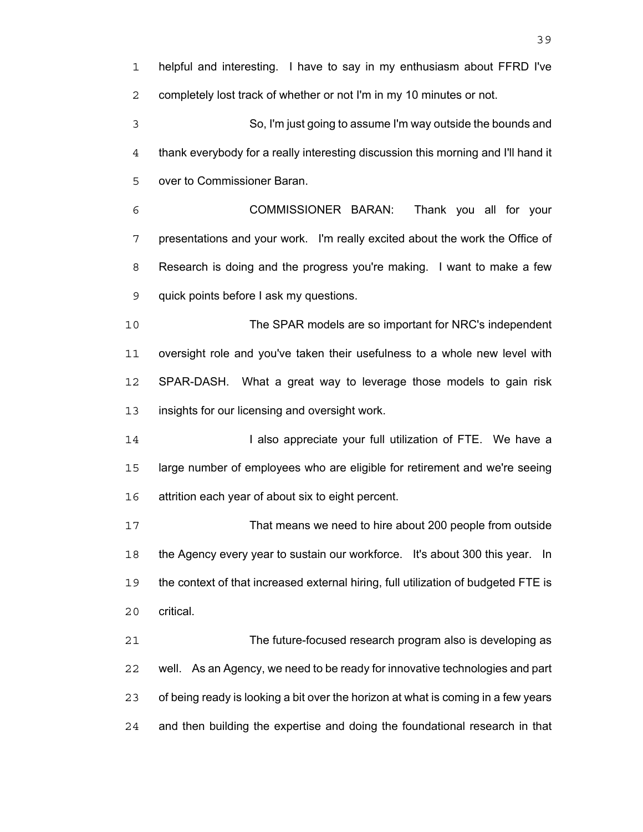helpful and interesting. I have to say in my enthusiasm about FFRD I've completely lost track of whether or not I'm in my 10 minutes or not. So, I'm just going to assume I'm way outside the bounds and thank everybody for a really interesting discussion this morning and I'll hand it over to Commissioner Baran. COMMISSIONER BARAN: Thank you all for your presentations and your work. I'm really excited about the work the Office of Research is doing and the progress you're making. I want to make a few quick points before I ask my questions. The SPAR models are so important for NRC's independent oversight role and you've taken their usefulness to a whole new level with SPAR-DASH. What a great way to leverage those models to gain risk insights for our licensing and oversight work. **I also appreciate your full utilization of FTE.** We have a large number of employees who are eligible for retirement and we're seeing attrition each year of about six to eight percent. That means we need to hire about 200 people from outside the Agency every year to sustain our workforce. It's about 300 this year. In the context of that increased external hiring, full utilization of budgeted FTE is critical. The future-focused research program also is developing as well. As an Agency, we need to be ready for innovative technologies and part of being ready is looking a bit over the horizon at what is coming in a few years and then building the expertise and doing the foundational research in that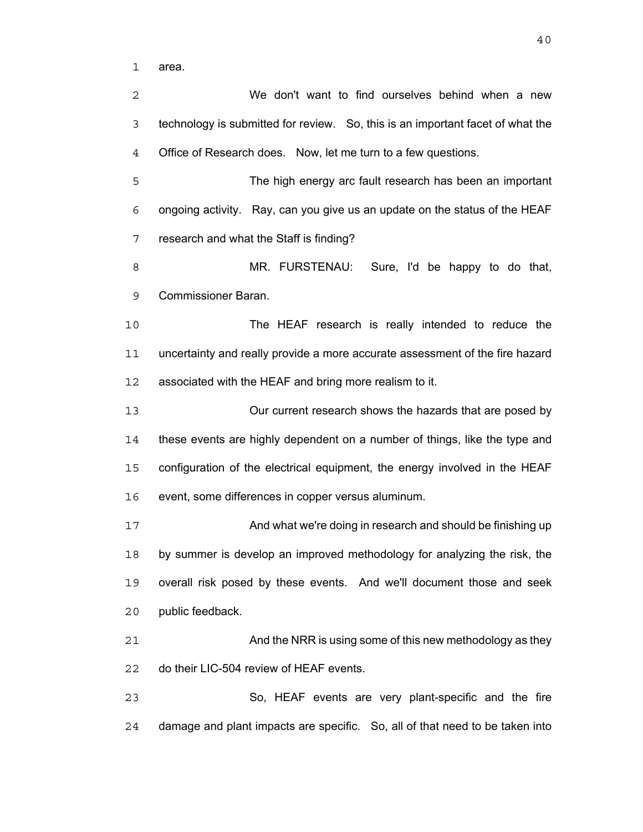area.

We don't want to find ourselves behind when a new technology is submitted for review. So, this is an important facet of what the Office of Research does. Now, let me turn to a few questions. The high energy arc fault research has been an important ongoing activity. Ray, can you give us an update on the status of the HEAF research and what the Staff is finding? MR. FURSTENAU: Sure, I'd be happy to do that, Commissioner Baran. The HEAF research is really intended to reduce the uncertainty and really provide a more accurate assessment of the fire hazard associated with the HEAF and bring more realism to it. Our current research shows the hazards that are posed by these events are highly dependent on a number of things, like the type and configuration of the electrical equipment, the energy involved in the HEAF event, some differences in copper versus aluminum. 17 And what we're doing in research and should be finishing up by summer is develop an improved methodology for analyzing the risk, the overall risk posed by these events. And we'll document those and seek public feedback. 21 And the NRR is using some of this new methodology as they do their LIC-504 review of HEAF events. So, HEAF events are very plant-specific and the fire damage and plant impacts are specific. So, all of that need to be taken into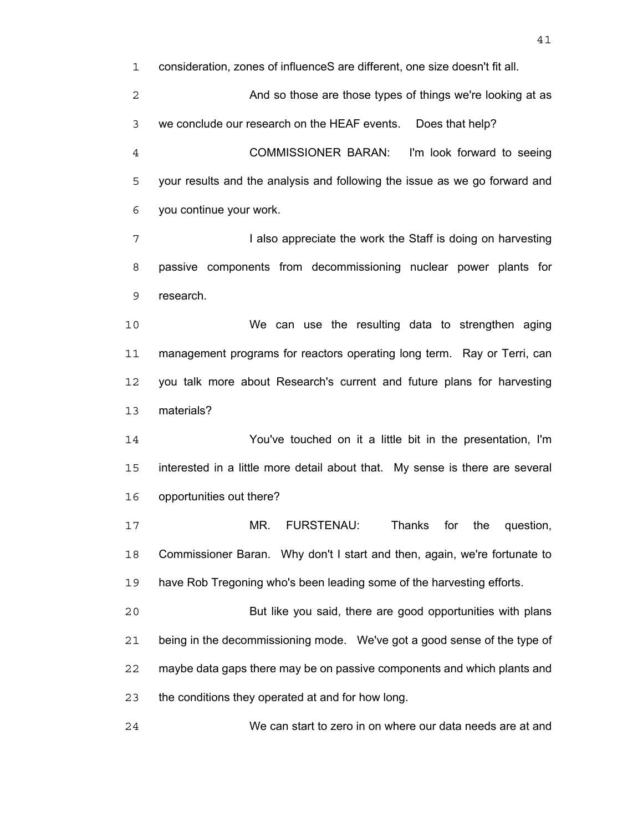consideration, zones of influenceS are different, one size doesn't fit all.

And so those are those types of things we're looking at as we conclude our research on the HEAF events. Does that help?

COMMISSIONER BARAN: I'm look forward to seeing your results and the analysis and following the issue as we go forward and you continue your work.

**I also appreciate the work the Staff is doing on harvesting** passive components from decommissioning nuclear power plants for research.

We can use the resulting data to strengthen aging management programs for reactors operating long term. Ray or Terri, can you talk more about Research's current and future plans for harvesting materials?

You've touched on it a little bit in the presentation, I'm interested in a little more detail about that. My sense is there are several opportunities out there?

MR. FURSTENAU: Thanks for the question, Commissioner Baran. Why don't I start and then, again, we're fortunate to have Rob Tregoning who's been leading some of the harvesting efforts.

But like you said, there are good opportunities with plans being in the decommissioning mode. We've got a good sense of the type of maybe data gaps there may be on passive components and which plants and the conditions they operated at and for how long.

We can start to zero in on where our data needs are at and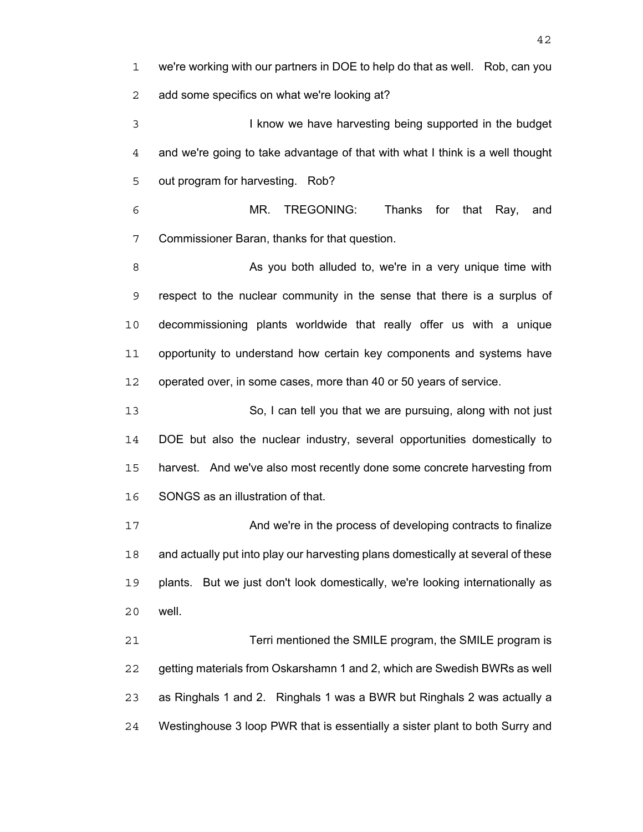we're working with our partners in DOE to help do that as well. Rob, can you add some specifics on what we're looking at?

I know we have harvesting being supported in the budget and we're going to take advantage of that with what I think is a well thought out program for harvesting. Rob?

MR. TREGONING: Thanks for that Ray, and Commissioner Baran, thanks for that question.

8 As you both alluded to, we're in a very unique time with respect to the nuclear community in the sense that there is a surplus of decommissioning plants worldwide that really offer us with a unique opportunity to understand how certain key components and systems have operated over, in some cases, more than 40 or 50 years of service.

So, I can tell you that we are pursuing, along with not just DOE but also the nuclear industry, several opportunities domestically to harvest. And we've also most recently done some concrete harvesting from SONGS as an illustration of that.

17 And we're in the process of developing contracts to finalize and actually put into play our harvesting plans domestically at several of these plants. But we just don't look domestically, we're looking internationally as well.

Terri mentioned the SMILE program, the SMILE program is getting materials from Oskarshamn 1 and 2, which are Swedish BWRs as well as Ringhals 1 and 2. Ringhals 1 was a BWR but Ringhals 2 was actually a Westinghouse 3 loop PWR that is essentially a sister plant to both Surry and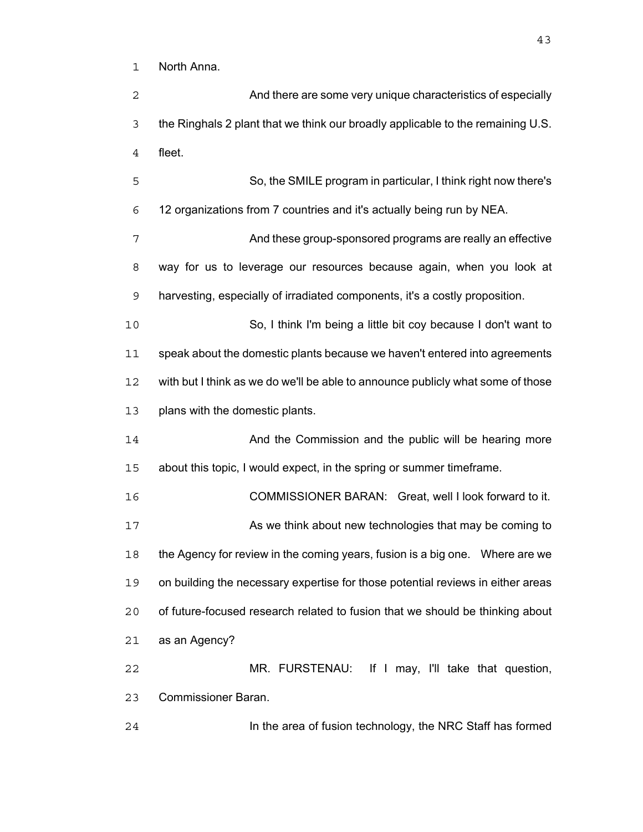North Anna.

| $\overline{2}$ | And there are some very unique characteristics of especially                    |
|----------------|---------------------------------------------------------------------------------|
| $\mathfrak{Z}$ | the Ringhals 2 plant that we think our broadly applicable to the remaining U.S. |
| $\overline{4}$ | fleet.                                                                          |
| 5              | So, the SMILE program in particular, I think right now there's                  |
| 6              | 12 organizations from 7 countries and it's actually being run by NEA.           |
| 7              | And these group-sponsored programs are really an effective                      |
| 8              | way for us to leverage our resources because again, when you look at            |
| $\mathsf 9$    | harvesting, especially of irradiated components, it's a costly proposition.     |
| 10             | So, I think I'm being a little bit coy because I don't want to                  |
| 11             | speak about the domestic plants because we haven't entered into agreements      |
| 12             | with but I think as we do we'll be able to announce publicly what some of those |
| 13             | plans with the domestic plants.                                                 |
| 14             | And the Commission and the public will be hearing more                          |
| 15             | about this topic, I would expect, in the spring or summer timeframe.            |
| 16             | COMMISSIONER BARAN: Great, well I look forward to it.                           |
| 17             | As we think about new technologies that may be coming to                        |
| 18             | the Agency for review in the coming years, fusion is a big one.  Where are we   |
| 19             | on building the necessary expertise for those potential reviews in either areas |
| 20             | of future-focused research related to fusion that we should be thinking about   |
| 21             | as an Agency?                                                                   |
| 22             | MR. FURSTENAU: If I may, I'll take that question,                               |
| 23             | <b>Commissioner Baran.</b>                                                      |
| 24             | In the area of fusion technology, the NRC Staff has formed                      |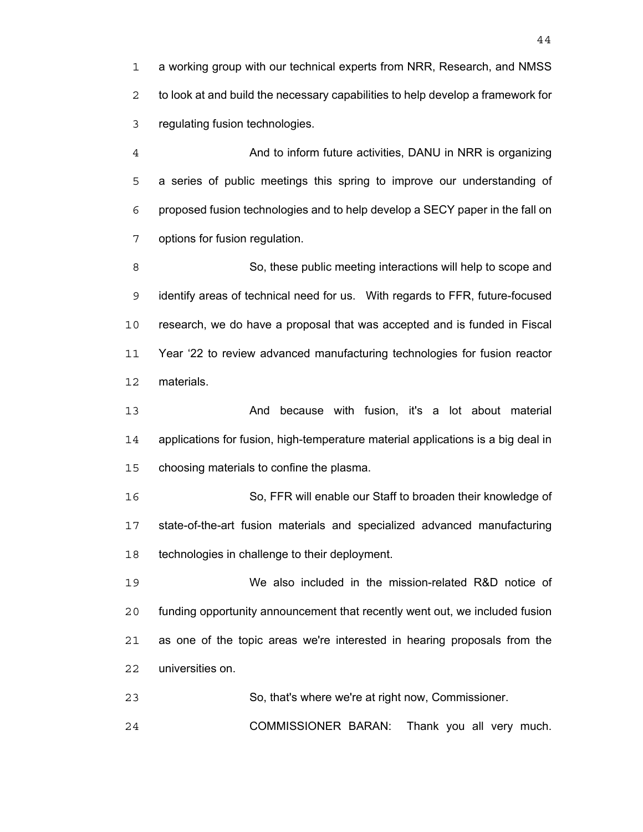a working group with our technical experts from NRR, Research, and NMSS to look at and build the necessary capabilities to help develop a framework for regulating fusion technologies.

And to inform future activities, DANU in NRR is organizing a series of public meetings this spring to improve our understanding of proposed fusion technologies and to help develop a SECY paper in the fall on options for fusion regulation.

So, these public meeting interactions will help to scope and identify areas of technical need for us. With regards to FFR, future-focused research, we do have a proposal that was accepted and is funded in Fiscal Year '22 to review advanced manufacturing technologies for fusion reactor materials.

13 And because with fusion, it's a lot about material applications for fusion, high-temperature material applications is a big deal in choosing materials to confine the plasma.

So, FFR will enable our Staff to broaden their knowledge of state-of-the-art fusion materials and specialized advanced manufacturing technologies in challenge to their deployment.

We also included in the mission-related R&D notice of funding opportunity announcement that recently went out, we included fusion as one of the topic areas we're interested in hearing proposals from the universities on.

So, that's where we're at right now, Commissioner.

COMMISSIONER BARAN: Thank you all very much.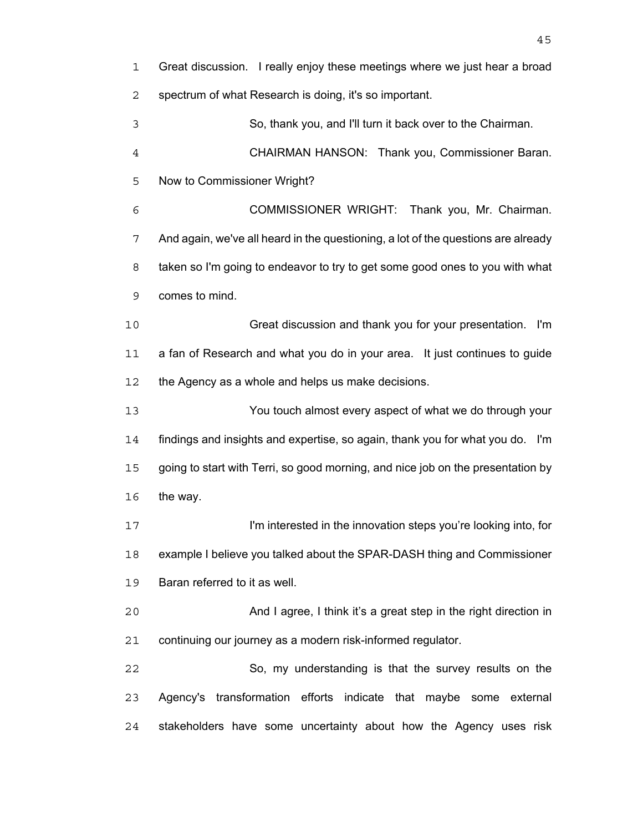| $\mathbf 1$    | Great discussion. I really enjoy these meetings where we just hear a broad        |
|----------------|-----------------------------------------------------------------------------------|
| 2              | spectrum of what Research is doing, it's so important.                            |
| 3              | So, thank you, and I'll turn it back over to the Chairman.                        |
| $\overline{4}$ | CHAIRMAN HANSON: Thank you, Commissioner Baran.                                   |
| 5              | Now to Commissioner Wright?                                                       |
| 6              | COMMISSIONER WRIGHT: Thank you, Mr. Chairman.                                     |
| 7              | And again, we've all heard in the questioning, a lot of the questions are already |
| 8              | taken so I'm going to endeavor to try to get some good ones to you with what      |
| 9              | comes to mind.                                                                    |
| 10             | Great discussion and thank you for your presentation.<br>l'm                      |
| 11             | a fan of Research and what you do in your area. It just continues to guide        |
| 12             | the Agency as a whole and helps us make decisions.                                |
| 13             | You touch almost every aspect of what we do through your                          |
| 14             | findings and insights and expertise, so again, thank you for what you do. I'm     |
| 15             | going to start with Terri, so good morning, and nice job on the presentation by   |
| 16             | the way.                                                                          |
| 17             | I'm interested in the innovation steps you're looking into, for                   |
| 18             | example I believe you talked about the SPAR-DASH thing and Commissioner           |
| 19             | Baran referred to it as well.                                                     |
| 20             | And I agree, I think it's a great step in the right direction in                  |
| 21             | continuing our journey as a modern risk-informed regulator.                       |
| 22             | So, my understanding is that the survey results on the                            |
| 23             | Agency's transformation efforts indicate that maybe some external                 |
| 24             | stakeholders have some uncertainty about how the Agency uses risk                 |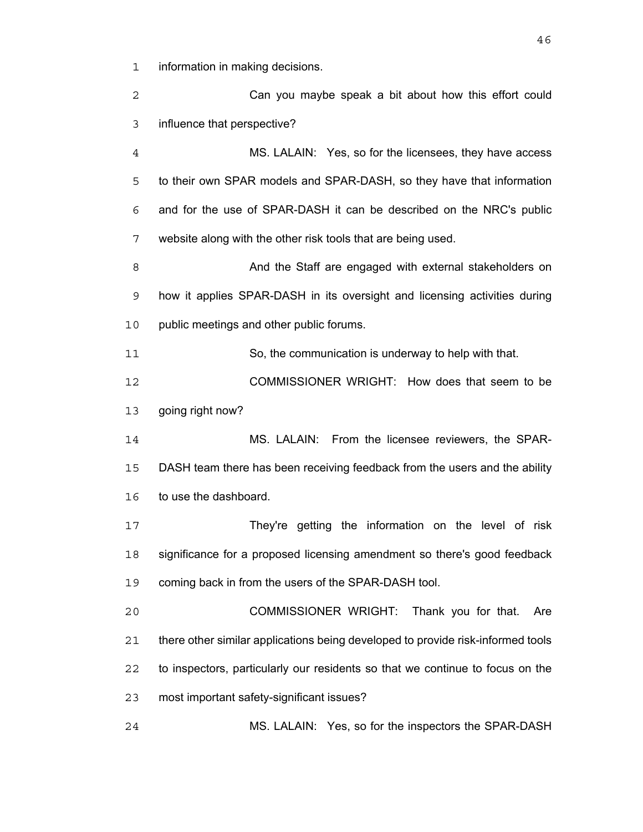information in making decisions.

Can you maybe speak a bit about how this effort could influence that perspective?

MS. LALAIN: Yes, so for the licensees, they have access to their own SPAR models and SPAR-DASH, so they have that information and for the use of SPAR-DASH it can be described on the NRC's public website along with the other risk tools that are being used.

And the Staff are engaged with external stakeholders on how it applies SPAR-DASH in its oversight and licensing activities during public meetings and other public forums.

So, the communication is underway to help with that.

COMMISSIONER WRIGHT: How does that seem to be going right now?

MS. LALAIN: From the licensee reviewers, the SPAR-DASH team there has been receiving feedback from the users and the ability to use the dashboard.

They're getting the information on the level of risk significance for a proposed licensing amendment so there's good feedback coming back in from the users of the SPAR-DASH tool.

COMMISSIONER WRIGHT: Thank you for that. Are there other similar applications being developed to provide risk-informed tools to inspectors, particularly our residents so that we continue to focus on the most important safety-significant issues?

MS. LALAIN: Yes, so for the inspectors the SPAR-DASH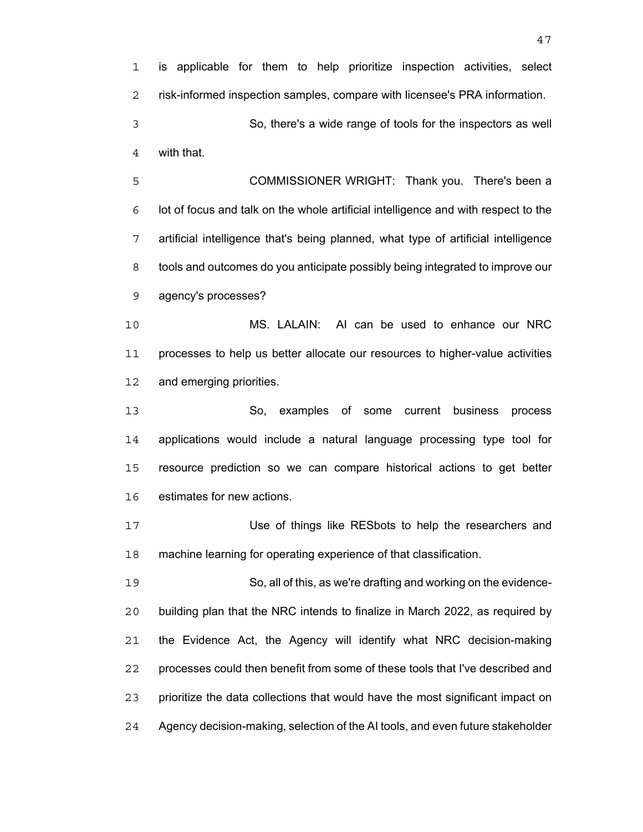is applicable for them to help prioritize inspection activities, select risk-informed inspection samples, compare with licensee's PRA information. So, there's a wide range of tools for the inspectors as well

with that.

COMMISSIONER WRIGHT: Thank you. There's been a lot of focus and talk on the whole artificial intelligence and with respect to the artificial intelligence that's being planned, what type of artificial intelligence tools and outcomes do you anticipate possibly being integrated to improve our agency's processes?

MS. LALAIN: AI can be used to enhance our NRC processes to help us better allocate our resources to higher-value activities and emerging priorities.

So, examples of some current business process applications would include a natural language processing type tool for resource prediction so we can compare historical actions to get better estimates for new actions.

Use of things like RESbots to help the researchers and machine learning for operating experience of that classification.

So, all of this, as we're drafting and working on the evidence-building plan that the NRC intends to finalize in March 2022, as required by the Evidence Act, the Agency will identify what NRC decision-making processes could then benefit from some of these tools that I've described and prioritize the data collections that would have the most significant impact on Agency decision-making, selection of the AI tools, and even future stakeholder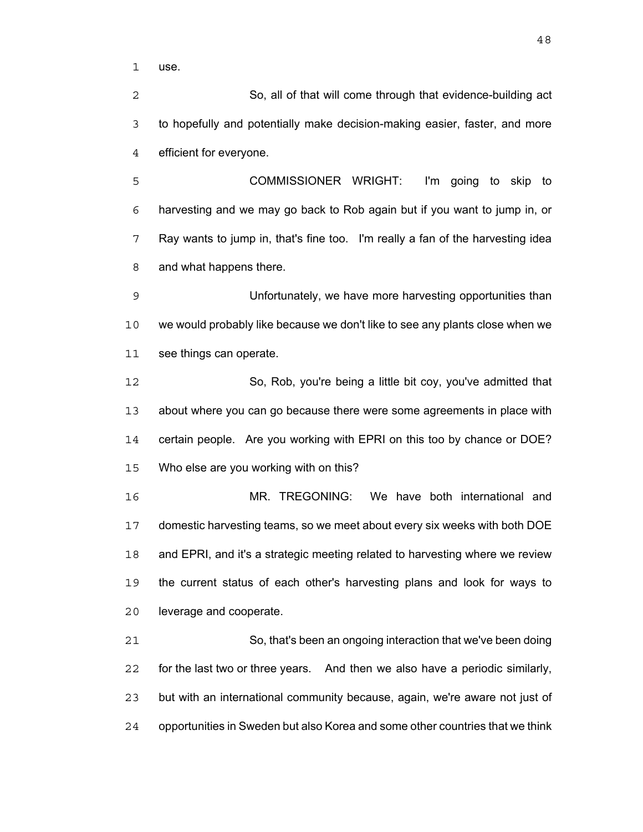use.

So, all of that will come through that evidence-building act to hopefully and potentially make decision-making easier, faster, and more efficient for everyone.

COMMISSIONER WRIGHT: I'm going to skip to harvesting and we may go back to Rob again but if you want to jump in, or Ray wants to jump in, that's fine too. I'm really a fan of the harvesting idea and what happens there.

Unfortunately, we have more harvesting opportunities than we would probably like because we don't like to see any plants close when we see things can operate.

So, Rob, you're being a little bit coy, you've admitted that about where you can go because there were some agreements in place with certain people. Are you working with EPRI on this too by chance or DOE? Who else are you working with on this?

MR. TREGONING: We have both international and domestic harvesting teams, so we meet about every six weeks with both DOE and EPRI, and it's a strategic meeting related to harvesting where we review the current status of each other's harvesting plans and look for ways to leverage and cooperate.

So, that's been an ongoing interaction that we've been doing for the last two or three years. And then we also have a periodic similarly, but with an international community because, again, we're aware not just of opportunities in Sweden but also Korea and some other countries that we think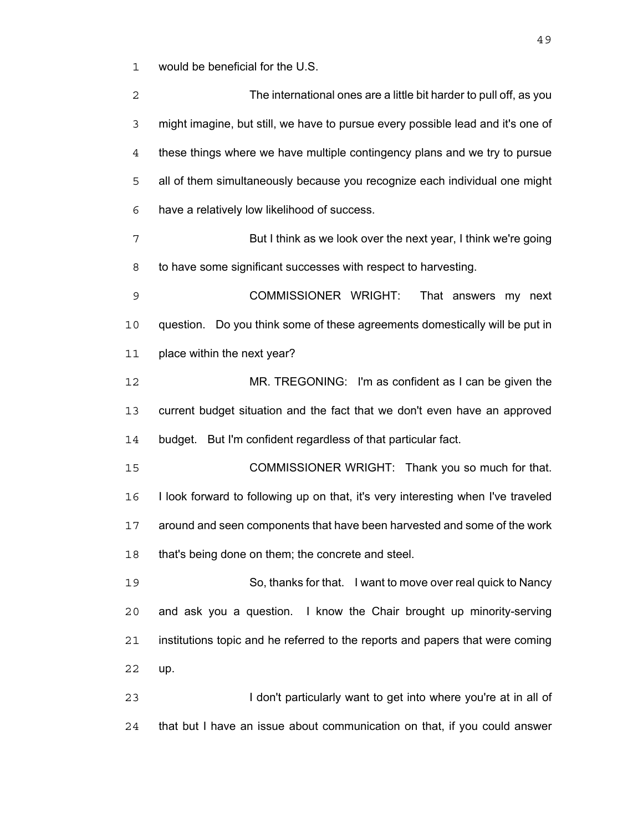would be beneficial for the U.S.

| 2  | The international ones are a little bit harder to pull off, as you               |
|----|----------------------------------------------------------------------------------|
| 3  | might imagine, but still, we have to pursue every possible lead and it's one of  |
| 4  | these things where we have multiple contingency plans and we try to pursue       |
| 5  | all of them simultaneously because you recognize each individual one might       |
| 6  | have a relatively low likelihood of success.                                     |
| 7  | But I think as we look over the next year, I think we're going                   |
| 8  | to have some significant successes with respect to harvesting.                   |
| 9  | COMMISSIONER WRIGHT:<br>That answers my next                                     |
| 10 | question. Do you think some of these agreements domestically will be put in      |
| 11 | place within the next year?                                                      |
| 12 | MR. TREGONING: I'm as confident as I can be given the                            |
| 13 | current budget situation and the fact that we don't even have an approved        |
| 14 | budget. But I'm confident regardless of that particular fact.                    |
| 15 | COMMISSIONER WRIGHT: Thank you so much for that.                                 |
| 16 | I look forward to following up on that, it's very interesting when I've traveled |
| 17 | around and seen components that have been harvested and some of the work         |
| 18 | that's being done on them; the concrete and steel.                               |
| 19 | So, thanks for that. I want to move over real quick to Nancy                     |
| 20 | and ask you a question. I know the Chair brought up minority-serving             |
| 21 | institutions topic and he referred to the reports and papers that were coming    |
| 22 | up.                                                                              |
| 23 | I don't particularly want to get into where you're at in all of                  |
| 24 | that but I have an issue about communication on that, if you could answer        |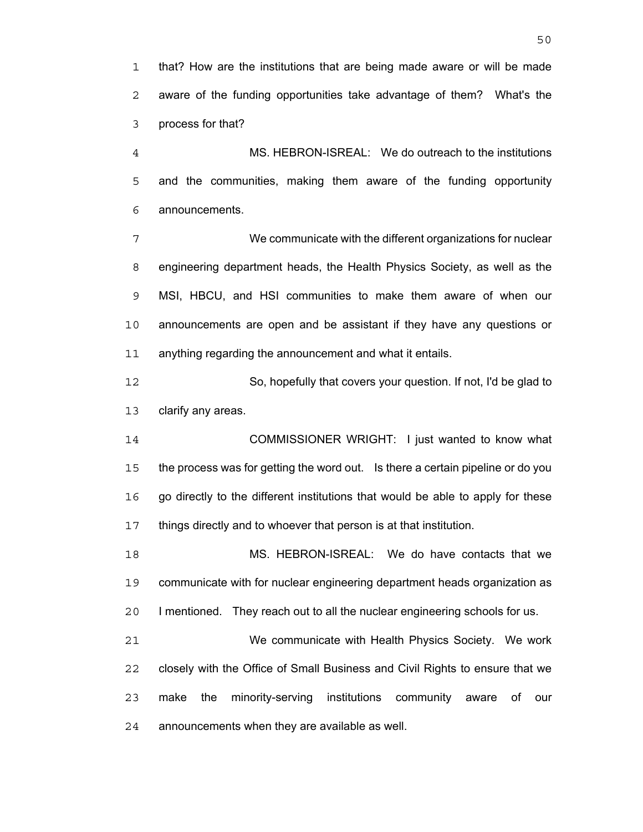that? How are the institutions that are being made aware or will be made aware of the funding opportunities take advantage of them? What's the process for that?

MS. HEBRON-ISREAL: We do outreach to the institutions and the communities, making them aware of the funding opportunity announcements.

We communicate with the different organizations for nuclear engineering department heads, the Health Physics Society, as well as the MSI, HBCU, and HSI communities to make them aware of when our announcements are open and be assistant if they have any questions or anything regarding the announcement and what it entails.

So, hopefully that covers your question. If not, I'd be glad to clarify any areas.

COMMISSIONER WRIGHT: I just wanted to know what the process was for getting the word out. Is there a certain pipeline or do you go directly to the different institutions that would be able to apply for these things directly and to whoever that person is at that institution.

MS. HEBRON-ISREAL: We do have contacts that we communicate with for nuclear engineering department heads organization as I mentioned. They reach out to all the nuclear engineering schools for us.

We communicate with Health Physics Society. We work closely with the Office of Small Business and Civil Rights to ensure that we make the minority-serving institutions community aware of our announcements when they are available as well.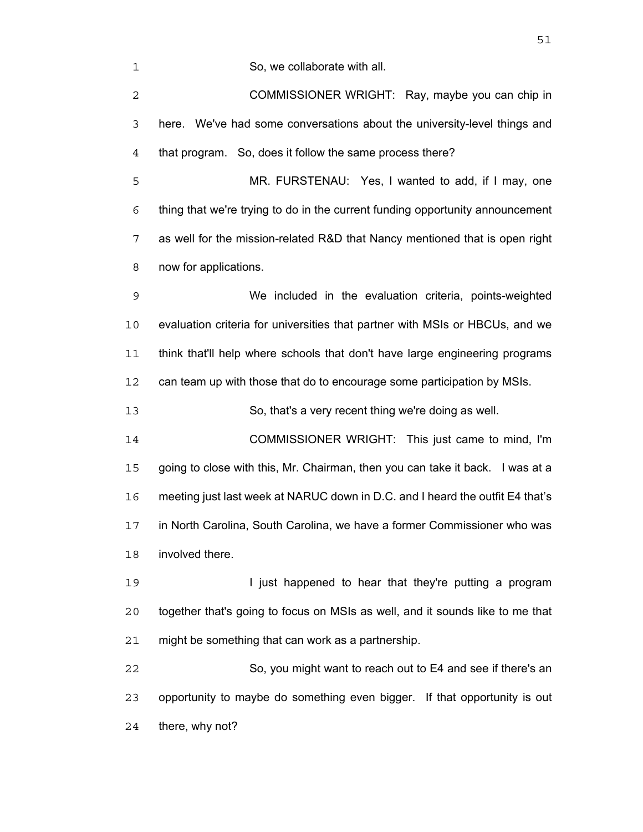So, we collaborate with all.

COMMISSIONER WRIGHT: Ray, maybe you can chip in here. We've had some conversations about the university-level things and that program. So, does it follow the same process there?

MR. FURSTENAU: Yes, I wanted to add, if I may, one thing that we're trying to do in the current funding opportunity announcement as well for the mission-related R&D that Nancy mentioned that is open right now for applications.

We included in the evaluation criteria, points-weighted evaluation criteria for universities that partner with MSIs or HBCUs, and we think that'll help where schools that don't have large engineering programs can team up with those that do to encourage some participation by MSIs.

So, that's a very recent thing we're doing as well.

COMMISSIONER WRIGHT: This just came to mind, I'm going to close with this, Mr. Chairman, then you can take it back. I was at a meeting just last week at NARUC down in D.C. and I heard the outfit E4 that's in North Carolina, South Carolina, we have a former Commissioner who was involved there.

19 I just happened to hear that they're putting a program together that's going to focus on MSIs as well, and it sounds like to me that might be something that can work as a partnership.

So, you might want to reach out to E4 and see if there's an opportunity to maybe do something even bigger. If that opportunity is out there, why not?